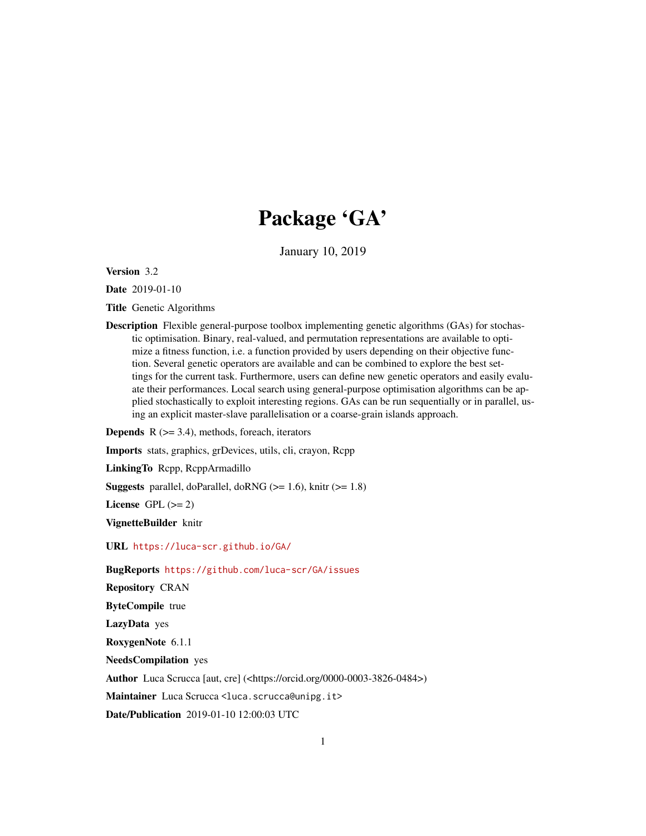# Package 'GA'

January 10, 2019

<span id="page-0-0"></span>Version 3.2

Date 2019-01-10

Title Genetic Algorithms

Description Flexible general-purpose toolbox implementing genetic algorithms (GAs) for stochastic optimisation. Binary, real-valued, and permutation representations are available to optimize a fitness function, i.e. a function provided by users depending on their objective function. Several genetic operators are available and can be combined to explore the best settings for the current task. Furthermore, users can define new genetic operators and easily evaluate their performances. Local search using general-purpose optimisation algorithms can be applied stochastically to exploit interesting regions. GAs can be run sequentially or in parallel, using an explicit master-slave parallelisation or a coarse-grain islands approach.

**Depends**  $R$  ( $>= 3.4$ ), methods, foreach, iterators

Imports stats, graphics, grDevices, utils, cli, crayon, Rcpp

LinkingTo Rcpp, RcppArmadillo

**Suggests** parallel, doParallel, doRNG ( $> = 1.6$ ), knitr ( $> = 1.8$ )

License GPL  $(>= 2)$ 

VignetteBuilder knitr

URL <https://luca-scr.github.io/GA/>

BugReports <https://github.com/luca-scr/GA/issues>

Repository CRAN

ByteCompile true

LazyData yes

RoxygenNote 6.1.1

NeedsCompilation yes

Author Luca Scrucca [aut, cre] (<https://orcid.org/0000-0003-3826-0484>)

Maintainer Luca Scrucca <luca.scrucca@unipg.it>

Date/Publication 2019-01-10 12:00:03 UTC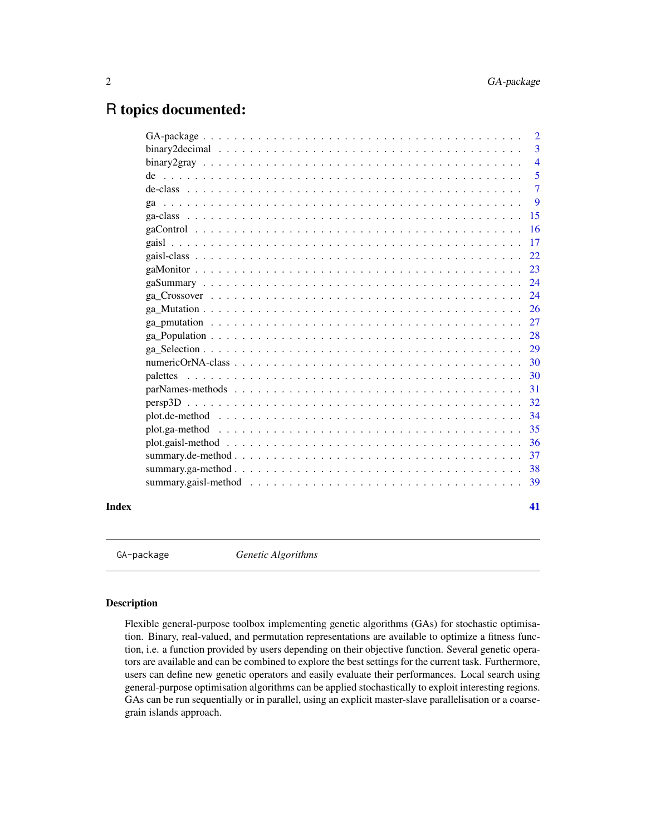# <span id="page-1-0"></span>R topics documented:

|       | 2              |
|-------|----------------|
|       | $\overline{3}$ |
|       | $\overline{4}$ |
|       | 5              |
|       | $\tau$         |
|       | 9              |
|       | 15             |
|       | 16             |
|       | 17             |
|       | 22             |
|       | 23             |
|       | 24             |
|       | 24             |
|       | 26             |
|       | 27             |
|       | 28             |
|       | 29             |
|       | 30             |
|       | 30             |
|       | 31             |
|       | 32             |
|       | 34             |
|       | 35             |
|       | 36             |
|       | 37             |
|       | 38             |
|       | 39             |
| Index | 41             |

GA-package *Genetic Algorithms*

# Description

Flexible general-purpose toolbox implementing genetic algorithms (GAs) for stochastic optimisation. Binary, real-valued, and permutation representations are available to optimize a fitness function, i.e. a function provided by users depending on their objective function. Several genetic operators are available and can be combined to explore the best settings for the current task. Furthermore, users can define new genetic operators and easily evaluate their performances. Local search using general-purpose optimisation algorithms can be applied stochastically to exploit interesting regions. GAs can be run sequentially or in parallel, using an explicit master-slave parallelisation or a coarsegrain islands approach.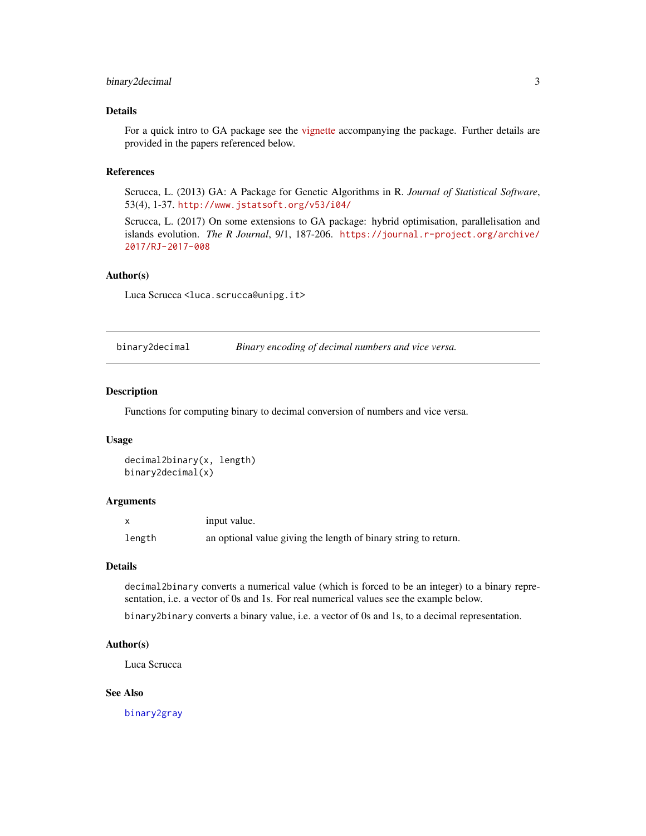# <span id="page-2-0"></span>binary2decimal 3

# Details

For a quick intro to GA package see the [vignette](../doc/index.html) accompanying the package. Further details are provided in the papers referenced below.

#### References

Scrucca, L. (2013) GA: A Package for Genetic Algorithms in R. *Journal of Statistical Software*, 53(4), 1-37. <http://www.jstatsoft.org/v53/i04/>

Scrucca, L. (2017) On some extensions to GA package: hybrid optimisation, parallelisation and islands evolution. *The R Journal*, 9/1, 187-206. [https://journal.r-project.org/archive/](https://journal.r-project.org/archive/2017/RJ-2017-008) [2017/RJ-2017-008](https://journal.r-project.org/archive/2017/RJ-2017-008)

# Author(s)

Luca Scrucca <luca.scrucca@unipg.it>

<span id="page-2-1"></span>binary2decimal *Binary encoding of decimal numbers and vice versa.*

#### Description

Functions for computing binary to decimal conversion of numbers and vice versa.

#### Usage

```
decimal2binary(x, length)
binary2decimal(x)
```
#### Arguments

|        | input value.                                                    |
|--------|-----------------------------------------------------------------|
| length | an optional value giving the length of binary string to return. |

#### Details

decimal2binary converts a numerical value (which is forced to be an integer) to a binary representation, i.e. a vector of 0s and 1s. For real numerical values see the example below.

binary2binary converts a binary value, i.e. a vector of 0s and 1s, to a decimal representation.

# Author(s)

Luca Scrucca

#### See Also

[binary2gray](#page-3-1)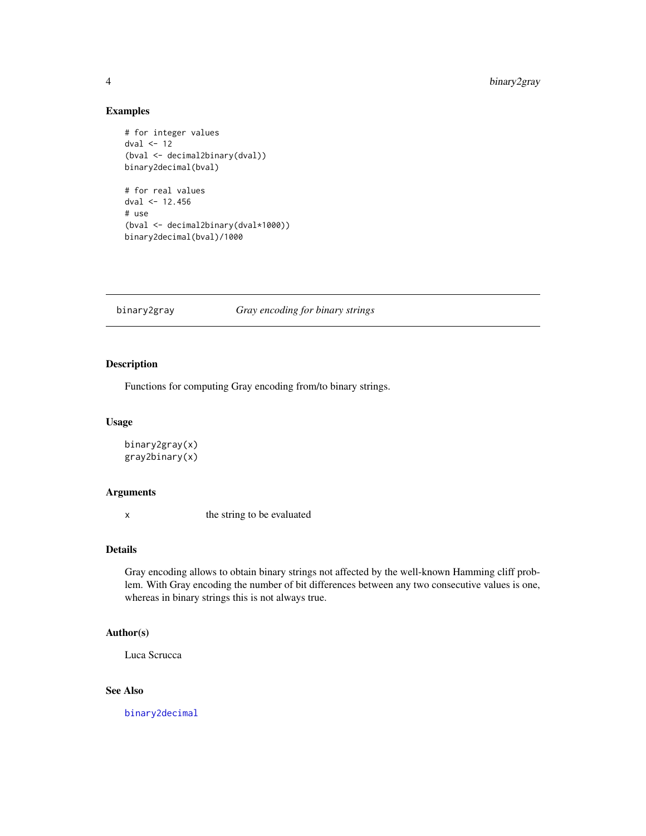# Examples

```
# for integer values
dval \leq 12
(bval <- decimal2binary(dval))
binary2decimal(bval)
# for real values
dval <- 12.456
# use
(bval <- decimal2binary(dval*1000))
binary2decimal(bval)/1000
```
# <span id="page-3-1"></span>binary2gray *Gray encoding for binary strings*

# Description

Functions for computing Gray encoding from/to binary strings.

#### Usage

```
binary2gray(x)
gray2binary(x)
```
#### Arguments

x the string to be evaluated

# Details

Gray encoding allows to obtain binary strings not affected by the well-known Hamming cliff problem. With Gray encoding the number of bit differences between any two consecutive values is one, whereas in binary strings this is not always true.

# Author(s)

Luca Scrucca

# See Also

[binary2decimal](#page-2-1)

<span id="page-3-0"></span>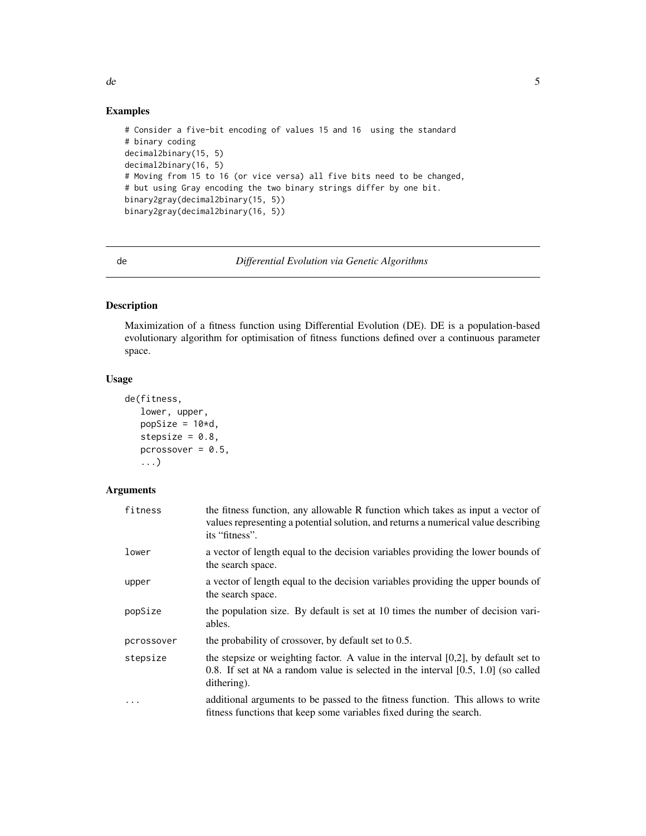# <span id="page-4-0"></span>Examples

```
# Consider a five-bit encoding of values 15 and 16 using the standard
# binary coding
decimal2binary(15, 5)
decimal2binary(16, 5)
# Moving from 15 to 16 (or vice versa) all five bits need to be changed,
# but using Gray encoding the two binary strings differ by one bit.
binary2gray(decimal2binary(15, 5))
binary2gray(decimal2binary(16, 5))
```
<span id="page-4-1"></span>de *Differential Evolution via Genetic Algorithms*

# Description

Maximization of a fitness function using Differential Evolution (DE). DE is a population-based evolutionary algorithm for optimisation of fitness functions defined over a continuous parameter space.

# Usage

```
de(fitness,
   lower, upper,
   popSize = 10*d,
   stepsize = 0.8,
   pcrossover = 0.5,
   ...)
```
#### Arguments

| fitness    | the fitness function, any allowable R function which takes as input a vector of<br>values representing a potential solution, and returns a numerical value describing<br>its "fitness".      |
|------------|----------------------------------------------------------------------------------------------------------------------------------------------------------------------------------------------|
| lower      | a vector of length equal to the decision variables providing the lower bounds of<br>the search space.                                                                                        |
| upper      | a vector of length equal to the decision variables providing the upper bounds of<br>the search space.                                                                                        |
| popSize    | the population size. By default is set at 10 times the number of decision vari-<br>ables.                                                                                                    |
| pcrossover | the probability of crossover, by default set to 0.5.                                                                                                                                         |
| stepsize   | the stepsize or weighting factor. A value in the interval $[0,2]$ , by default set to<br>0.8. If set at NA a random value is selected in the interval $[0.5, 1.0]$ (so called<br>dithering). |
| $\ddots$   | additional arguments to be passed to the fitness function. This allows to write<br>fitness functions that keep some variables fixed during the search.                                       |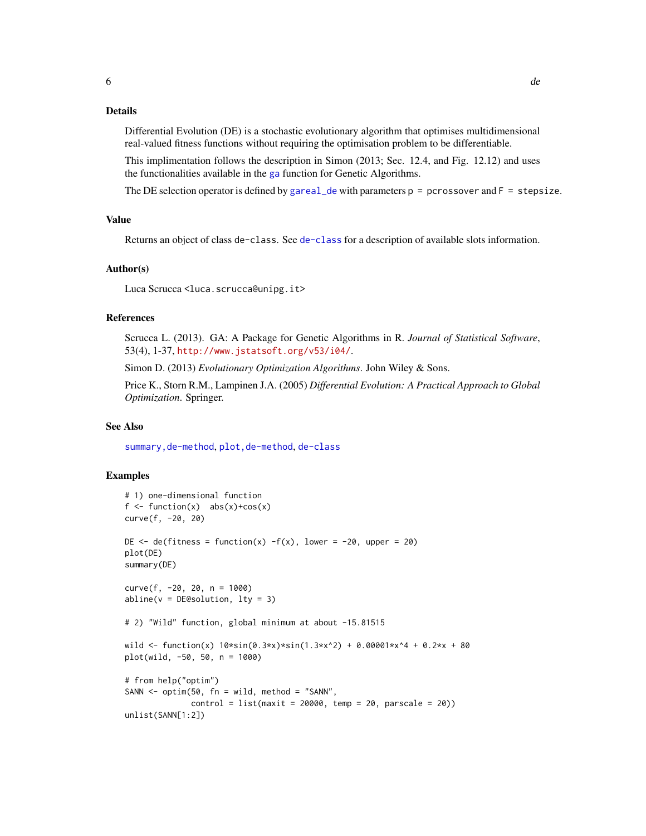# <span id="page-5-0"></span>Details

Differential Evolution (DE) is a stochastic evolutionary algorithm that optimises multidimensional real-valued fitness functions without requiring the optimisation problem to be differentiable.

This implimentation follows the description in Simon (2013; Sec. 12.4, and Fig. 12.12) and uses the functionalities available in the [ga](#page-8-1) function for Genetic Algorithms.

The DE selection operator is defined by [gareal\\_de](#page-28-1) with parameters  $p = p$  crossover and  $F = s$  tepsize.

#### Value

Returns an object of class de-class. See [de-class](#page-6-1) for a description of available slots information.

#### Author(s)

Luca Scrucca <luca.scrucca@unipg.it>

#### References

Scrucca L. (2013). GA: A Package for Genetic Algorithms in R. *Journal of Statistical Software*, 53(4), 1-37, <http://www.jstatsoft.org/v53/i04/>.

Simon D. (2013) *Evolutionary Optimization Algorithms*. John Wiley & Sons.

Price K., Storn R.M., Lampinen J.A. (2005) *Differential Evolution: A Practical Approach to Global Optimization*. Springer.

#### See Also

[summary,de-method](#page-0-0), [plot,de-method](#page-0-0), [de-class](#page-6-1)

# Examples

```
# 1) one-dimensional function
f \le function(x) abs(x)+cos(x)
curve(f, -20, 20)
DE \leq de(fitness = function(x) -f(x), lower = -20, upper = 20)
plot(DE)
summary(DE)
curve(f, -20, 20, n = 1000)abline(v = DE@solution, lty = 3)# 2) "Wild" function, global minimum at about -15.81515
wild <- function(x) 10*sin(0.3*x)*sin(1.3*x^2) + 0.00001*x^4 + 0.2*x + 80plot(wild, -50, 50, n = 1000)
# from help("optim")
SANN \le optim(50, fn = wild, method = "SANN",
             control = list(maxit = 20000, temp = 20, parsecale = 20)unlist(SANN[1:2])
```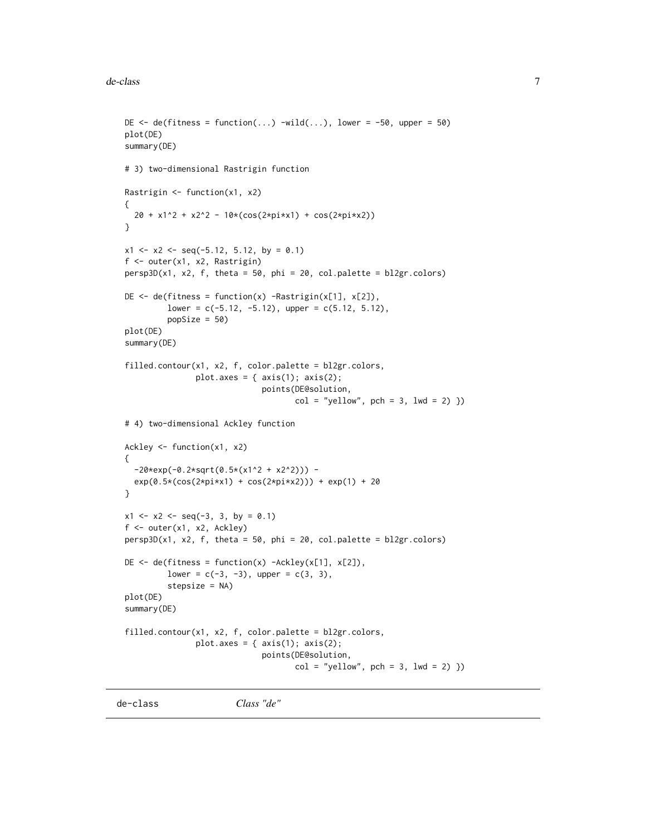```
DE \leq de(fitness = function(...) -wild(...), lower = -50, upper = 50)
plot(DE)
summary(DE)
# 3) two-dimensional Rastrigin function
Rastrigin <- function(x1, x2)
{
  20 + x1^2 + x2^2 - 10*(cos(2*pi*x1) + cos(2*pi*x2))
}
x1 \le -x2 \le -\text{seq}(-5.12, 5.12, \text{ by } = 0.1)f <- outer(x1, x2, Rastrigin)
persp3D(x1, x2, f, theta = 50, phi = 20, col.palette = bl2gr.colors)
DE \leq de(fitness = function(x) -Rastrigin(x[1], x[2]),
         lower = c(-5.12, -5.12), upper = c(5.12, 5.12),popSize = 50)
plot(DE)
summary(DE)
filled.contour(x1, x2, f, color.palette = bl2gr.colors,
               plot.axes = { axis(1); axis(2);
                              points(DE@solution,
                                     col = "yellow", pch = 3, lwd = 2) })# 4) two-dimensional Ackley function
Ackley <- function(x1, x2)
{
  -20*exp(-0.2*sqrt(0.5*(x1^2 + x2^2))) -
  exp(0.5*(cos(2*pi*x1) + cos(2*pi*x2))) + exp(1) + 20}
x1 \le x2 \le -\text{seq}(-3, 3, \text{ by } = 0.1)f <- outer(x1, x2, Ackley)
persp3D(x1, x2, f, theta = 50, phi = 20, col.palette = bl2gr.colors)
DE \leq de(fitness = function(x) -Ackley(x[1], x[2]),
         lower = c(-3, -3), upper = c(3, 3),stepsize = NA)
plot(DE)
summary(DE)
filled.contour(x1, x2, f, color.palette = bl2gr.colors,
               plot.axes = { axis(1); axis(2);
                              points(DE@solution,
                                      col = "yellow", pch = 3, lwd = 2) })
```
<span id="page-6-1"></span>de-class *Class "de"*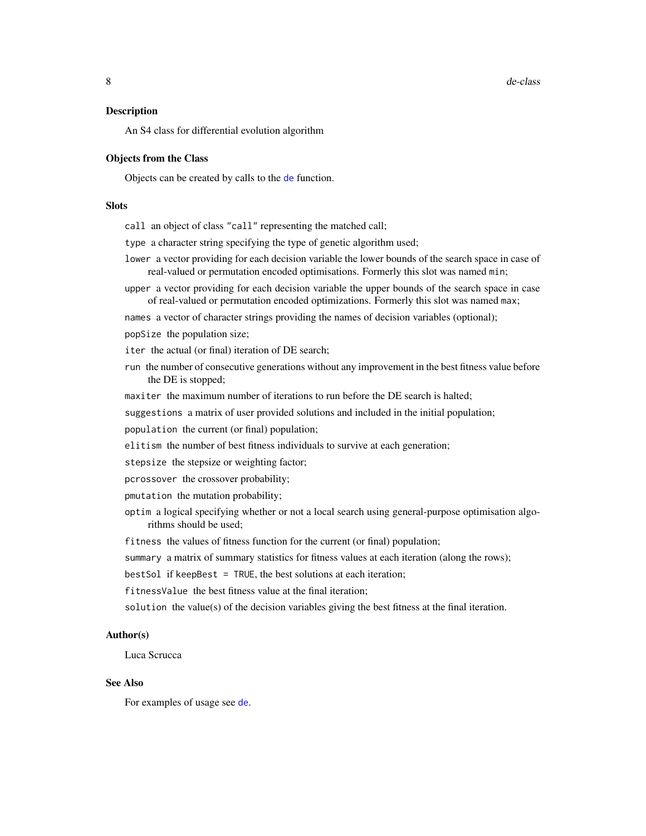<span id="page-7-0"></span>8 de-class de contra de la componente de la componente de la componente de la componente de la componente de la componente de la componente de la componente de la componente de la componente de la componente de la componen

#### Description

An S4 class for differential evolution algorithm

#### Objects from the Class

Objects can be created by calls to the [de](#page-4-1) function.

#### Slots

call an object of class "call" representing the matched call;

type a character string specifying the type of genetic algorithm used;

- lower a vector providing for each decision variable the lower bounds of the search space in case of real-valued or permutation encoded optimisations. Formerly this slot was named min;
- upper a vector providing for each decision variable the upper bounds of the search space in case of real-valued or permutation encoded optimizations. Formerly this slot was named max;

names a vector of character strings providing the names of decision variables (optional);

popSize the population size;

iter the actual (or final) iteration of DE search;

run the number of consecutive generations without any improvement in the best fitness value before the DE is stopped;

maxiter the maximum number of iterations to run before the DE search is halted;

suggestions a matrix of user provided solutions and included in the initial population;

population the current (or final) population;

elitism the number of best fitness individuals to survive at each generation;

stepsize the stepsize or weighting factor;

- pcrossover the crossover probability;
- pmutation the mutation probability;
- optim a logical specifying whether or not a local search using general-purpose optimisation algorithms should be used;

fitness the values of fitness function for the current (or final) population;

summary a matrix of summary statistics for fitness values at each iteration (along the rows);

bestSol if keepBest = TRUE, the best solutions at each iteration;

fitnessValue the best fitness value at the final iteration;

solution the value(s) of the decision variables giving the best fitness at the final iteration.

#### Author(s)

Luca Scrucca

#### See Also

For examples of usage see [de](#page-4-1).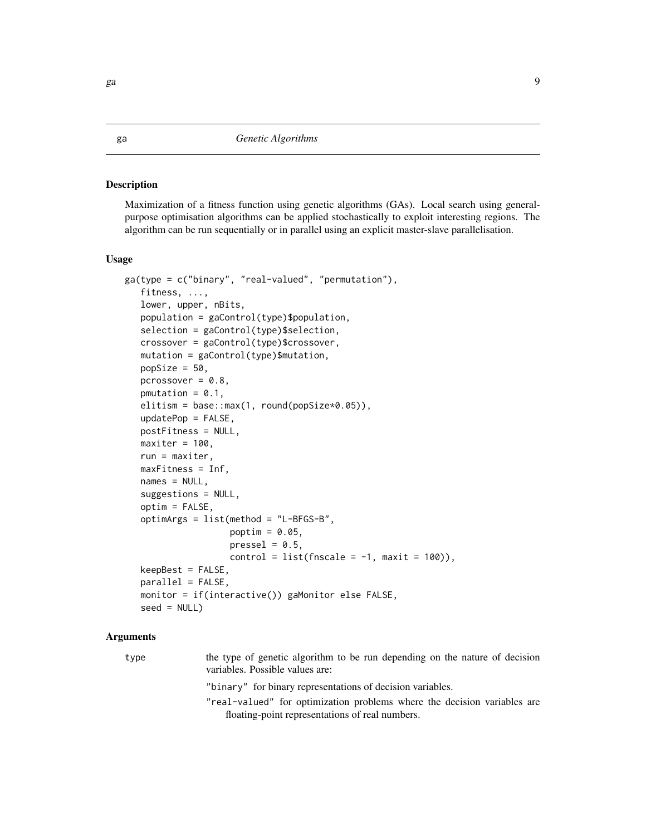#### Description

Maximization of a fitness function using genetic algorithms (GAs). Local search using generalpurpose optimisation algorithms can be applied stochastically to exploit interesting regions. The algorithm can be run sequentially or in parallel using an explicit master-slave parallelisation.

#### Usage

```
ga(type = c("binary", "real-valued", "permutation"),
   fitness, ...,
   lower, upper, nBits,
   population = gaControl(type)$population,
   selection = gaControl(type)$selection,
   crossover = gaControl(type)$crossover,
   mutation = gaControl(type)$mutation,
   popSize = 50,
   pcrossover = 0.8,
   pmutation = 0.1,
   elitism = base::max(1, round(popSize*0.05)),
   updatePop = FALSE,
   postFitness = NULL,
   maxiter = 100,
   run = maxiter,maxFitness = Inf,
   names = NULL,
   suggestions = NULL,
   optim = FALSE,
   optimArgs = list(method = "L-BFGS-B",
                    poptim = 0.05,
                    presel = 0.5,
                    control = list(fnscale = -1, maxit = 100),
   keepBest = FALSE,
   parallel = FALSE,
   monitor = if(interactive()) gaMonitor else FALSE,
   seed = NULL
```
#### Arguments

type the type of genetic algorithm to be run depending on the nature of decision variables. Possible values are: "binary" for binary representations of decision variables.

> "real-valued" for optimization problems where the decision variables are floating-point representations of real numbers.

<span id="page-8-1"></span><span id="page-8-0"></span>ga energy and the set of the set of the set of the set of the set of the set of the set of the set of the set o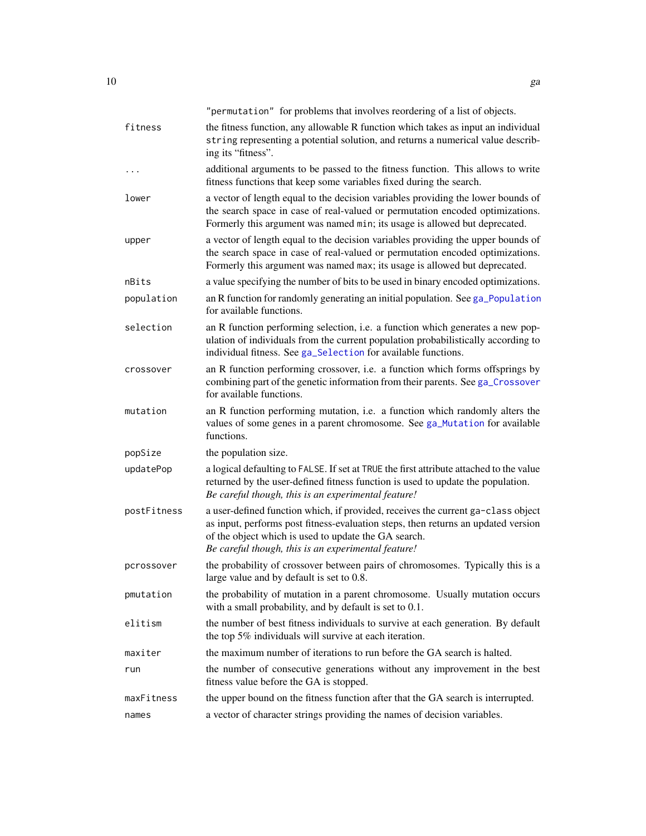<span id="page-9-0"></span>

|             | "permutation" for problems that involves reordering of a list of objects.                                                                                                                                                                                                            |
|-------------|--------------------------------------------------------------------------------------------------------------------------------------------------------------------------------------------------------------------------------------------------------------------------------------|
| fitness     | the fitness function, any allowable R function which takes as input an individual<br>string representing a potential solution, and returns a numerical value describ-<br>ing its "fitness".                                                                                          |
|             | additional arguments to be passed to the fitness function. This allows to write<br>fitness functions that keep some variables fixed during the search.                                                                                                                               |
| lower       | a vector of length equal to the decision variables providing the lower bounds of<br>the search space in case of real-valued or permutation encoded optimizations.<br>Formerly this argument was named min; its usage is allowed but deprecated.                                      |
| upper       | a vector of length equal to the decision variables providing the upper bounds of<br>the search space in case of real-valued or permutation encoded optimizations.<br>Formerly this argument was named max; its usage is allowed but deprecated.                                      |
| nBits       | a value specifying the number of bits to be used in binary encoded optimizations.                                                                                                                                                                                                    |
| population  | an R function for randomly generating an initial population. See ga_Population<br>for available functions.                                                                                                                                                                           |
| selection   | an R function performing selection, i.e. a function which generates a new pop-<br>ulation of individuals from the current population probabilistically according to<br>individual fitness. See ga_Selection for available functions.                                                 |
| crossover   | an R function performing crossover, i.e. a function which forms offsprings by<br>combining part of the genetic information from their parents. See ga_Crossover<br>for available functions.                                                                                          |
| mutation    | an R function performing mutation, i.e. a function which randomly alters the<br>values of some genes in a parent chromosome. See ga_Mutation for available<br>functions.                                                                                                             |
| popSize     | the population size.                                                                                                                                                                                                                                                                 |
| updatePop   | a logical defaulting to FALSE. If set at TRUE the first attribute attached to the value<br>returned by the user-defined fitness function is used to update the population.<br>Be careful though, this is an experimental feature!                                                    |
| postFitness | a user-defined function which, if provided, receives the current ga-class object<br>as input, performs post fitness-evaluation steps, then returns an updated version<br>of the object which is used to update the GA search.<br>Be careful though, this is an experimental feature! |
| pcrossover  | the probability of crossover between pairs of chromosomes. Typically this is a<br>large value and by default is set to 0.8.                                                                                                                                                          |
| pmutation   | the probability of mutation in a parent chromosome. Usually mutation occurs<br>with a small probability, and by default is set to 0.1.                                                                                                                                               |
| elitism     | the number of best fitness individuals to survive at each generation. By default<br>the top 5% individuals will survive at each iteration.                                                                                                                                           |
| maxiter     | the maximum number of iterations to run before the GA search is halted.                                                                                                                                                                                                              |
| run         | the number of consecutive generations without any improvement in the best<br>fitness value before the GA is stopped.                                                                                                                                                                 |
| maxFitness  | the upper bound on the fitness function after that the GA search is interrupted.                                                                                                                                                                                                     |
| names       | a vector of character strings providing the names of decision variables.                                                                                                                                                                                                             |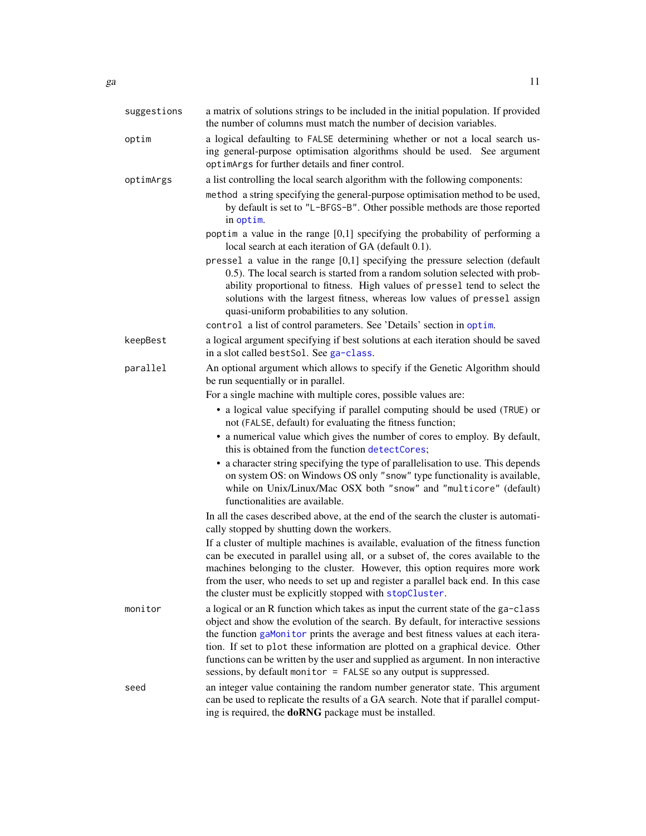<span id="page-10-0"></span>

| suggestions | a matrix of solutions strings to be included in the initial population. If provided<br>the number of columns must match the number of decision variables.                                                                                                                                                                                                                                                                                                                                               |
|-------------|---------------------------------------------------------------------------------------------------------------------------------------------------------------------------------------------------------------------------------------------------------------------------------------------------------------------------------------------------------------------------------------------------------------------------------------------------------------------------------------------------------|
| optim       | a logical defaulting to FALSE determining whether or not a local search us-<br>ing general-purpose optimisation algorithms should be used. See argument<br>optimArgs for further details and finer control.                                                                                                                                                                                                                                                                                             |
| optimArgs   | a list controlling the local search algorithm with the following components:<br>method a string specifying the general-purpose optimisation method to be used,<br>by default is set to "L-BFGS-B". Other possible methods are those reported<br>in optim.                                                                                                                                                                                                                                               |
|             | poptim a value in the range $[0,1]$ specifying the probability of performing a<br>local search at each iteration of GA (default 0.1).                                                                                                                                                                                                                                                                                                                                                                   |
|             | pressel a value in the range [0,1] specifying the pressure selection (default<br>0.5). The local search is started from a random solution selected with prob-<br>ability proportional to fitness. High values of pressel tend to select the<br>solutions with the largest fitness, whereas low values of pressel assign<br>quasi-uniform probabilities to any solution.                                                                                                                                 |
|             | control a list of control parameters. See 'Details' section in optim.                                                                                                                                                                                                                                                                                                                                                                                                                                   |
| keepBest    | a logical argument specifying if best solutions at each iteration should be saved<br>in a slot called bestSol. See ga-class.                                                                                                                                                                                                                                                                                                                                                                            |
| parallel    | An optional argument which allows to specify if the Genetic Algorithm should<br>be run sequentially or in parallel.                                                                                                                                                                                                                                                                                                                                                                                     |
|             | For a single machine with multiple cores, possible values are:                                                                                                                                                                                                                                                                                                                                                                                                                                          |
|             | • a logical value specifying if parallel computing should be used (TRUE) or<br>not (FALSE, default) for evaluating the fitness function;                                                                                                                                                                                                                                                                                                                                                                |
|             | • a numerical value which gives the number of cores to employ. By default,<br>this is obtained from the function detectCores;                                                                                                                                                                                                                                                                                                                                                                           |
|             | • a character string specifying the type of parallelisation to use. This depends<br>on system OS: on Windows OS only "snow" type functionality is available,<br>while on Unix/Linux/Mac OSX both "snow" and "multicore" (default)<br>functionalities are available.                                                                                                                                                                                                                                     |
|             | In all the cases described above, at the end of the search the cluster is automati-<br>cally stopped by shutting down the workers.                                                                                                                                                                                                                                                                                                                                                                      |
|             | If a cluster of multiple machines is available, evaluation of the fitness function<br>can be executed in parallel using all, or a subset of, the cores available to the<br>machines belonging to the cluster. However, this option requires more work<br>from the user, who needs to set up and register a parallel back end. In this case<br>the cluster must be explicitly stopped with stopCluster.                                                                                                  |
| monitor     | a logical or an R function which takes as input the current state of the ga-class<br>object and show the evolution of the search. By default, for interactive sessions<br>the function gaMonitor prints the average and best fitness values at each itera-<br>tion. If set to plot these information are plotted on a graphical device. Other<br>functions can be written by the user and supplied as argument. In non interactive<br>sessions, by default monitor = FALSE so any output is suppressed. |
| seed        | an integer value containing the random number generator state. This argument<br>can be used to replicate the results of a GA search. Note that if parallel comput-                                                                                                                                                                                                                                                                                                                                      |

ing is required, the **doRNG** package must be installed.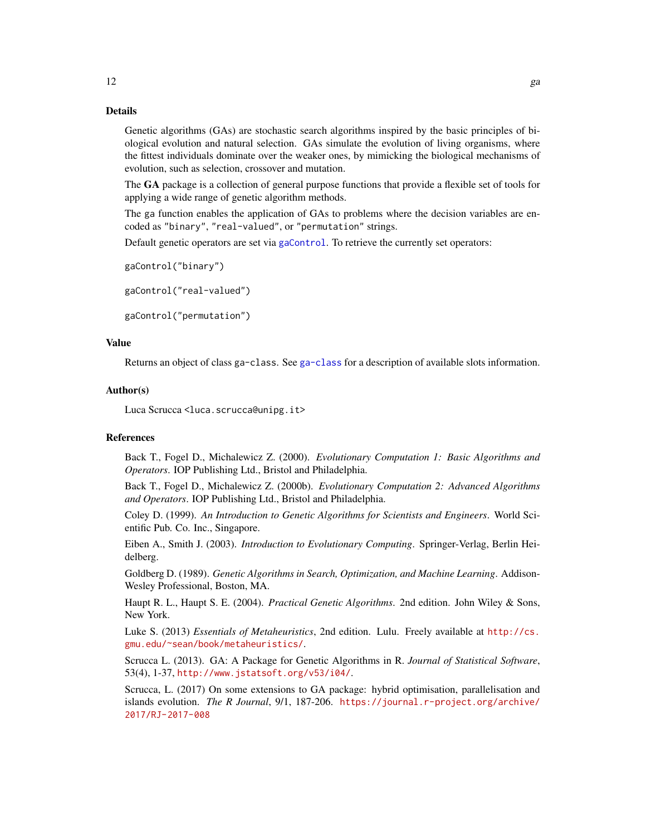# Details

Genetic algorithms (GAs) are stochastic search algorithms inspired by the basic principles of biological evolution and natural selection. GAs simulate the evolution of living organisms, where the fittest individuals dominate over the weaker ones, by mimicking the biological mechanisms of evolution, such as selection, crossover and mutation.

The GA package is a collection of general purpose functions that provide a flexible set of tools for applying a wide range of genetic algorithm methods.

The ga function enables the application of GAs to problems where the decision variables are encoded as "binary", "real-valued", or "permutation" strings.

Default genetic operators are set via [gaControl](#page-15-1). To retrieve the currently set operators:

```
gaControl("binary")
```
gaControl("real-valued")

gaControl("permutation")

# Value

Returns an object of class ga-class. See [ga-class](#page-14-1) for a description of available slots information.

#### Author(s)

Luca Scrucca <luca.scrucca@unipg.it>

#### References

Back T., Fogel D., Michalewicz Z. (2000). *Evolutionary Computation 1: Basic Algorithms and Operators*. IOP Publishing Ltd., Bristol and Philadelphia.

Back T., Fogel D., Michalewicz Z. (2000b). *Evolutionary Computation 2: Advanced Algorithms and Operators*. IOP Publishing Ltd., Bristol and Philadelphia.

Coley D. (1999). *An Introduction to Genetic Algorithms for Scientists and Engineers*. World Scientific Pub. Co. Inc., Singapore.

Eiben A., Smith J. (2003). *Introduction to Evolutionary Computing*. Springer-Verlag, Berlin Heidelberg.

Goldberg D. (1989). *Genetic Algorithms in Search, Optimization, and Machine Learning*. Addison-Wesley Professional, Boston, MA.

Haupt R. L., Haupt S. E. (2004). *Practical Genetic Algorithms*. 2nd edition. John Wiley & Sons, New York.

Luke S. (2013) *Essentials of Metaheuristics*, 2nd edition. Lulu. Freely available at [http://cs.](http://cs.gmu.edu/~sean/book/metaheuristics/) [gmu.edu/~sean/book/metaheuristics/](http://cs.gmu.edu/~sean/book/metaheuristics/).

Scrucca L. (2013). GA: A Package for Genetic Algorithms in R. *Journal of Statistical Software*, 53(4), 1-37, <http://www.jstatsoft.org/v53/i04/>.

Scrucca, L. (2017) On some extensions to GA package: hybrid optimisation, parallelisation and islands evolution. *The R Journal*, 9/1, 187-206. [https://journal.r-project.org/archive/](https://journal.r-project.org/archive/2017/RJ-2017-008) [2017/RJ-2017-008](https://journal.r-project.org/archive/2017/RJ-2017-008)

<span id="page-11-0"></span>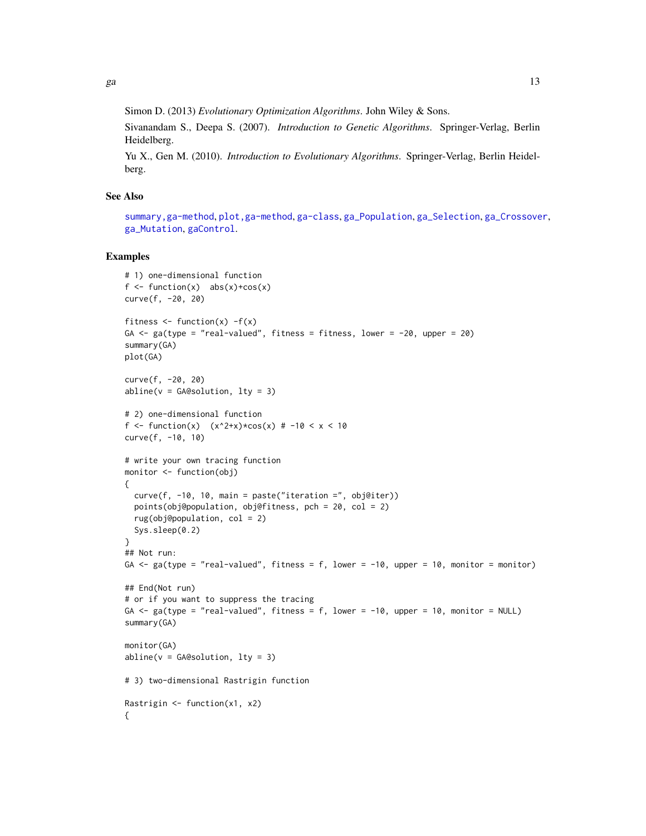<span id="page-12-0"></span>Simon D. (2013) *Evolutionary Optimization Algorithms*. John Wiley & Sons.

Sivanandam S., Deepa S. (2007). *Introduction to Genetic Algorithms*. Springer-Verlag, Berlin Heidelberg.

Yu X., Gen M. (2010). *Introduction to Evolutionary Algorithms*. Springer-Verlag, Berlin Heidelberg.

# See Also

[summary,ga-method](#page-0-0), [plot,ga-method](#page-0-0), [ga-class](#page-14-1), [ga\\_Population](#page-27-1), [ga\\_Selection](#page-28-2), [ga\\_Crossover](#page-23-1), [ga\\_Mutation](#page-25-1), [gaControl](#page-15-1).

#### Examples

```
# 1) one-dimensional function
f \le function(x) abs(x)+cos(x)
curve(f, -20, 20)
fitness \leq function(x) -f(x)GA \leq ga(type = "real-valued", fitness = fitness, lower = -20, upper = 20)
summary(GA)
plot(GA)
curve(f, -20, 20)
abline(v = GA@solution, lty = 3)# 2) one-dimensional function
f <- function(x) (x^2+x)*cos(x) # -10 < x < 10curve(f, -10, 10)
# write your own tracing function
monitor <- function(obj)
{
  curve(f, -10, 10, \text{ main} = paste("iteration =", obj@iter))points(obj@population, obj@fitness, pch = 20, col = 2)
  rug(obj@population, col = 2)
  Sys.sleep(0.2)
}
## Not run:
GA \leq ga(type = "real-valued", fitness = f, lower = -10, upper = 10, monitor = monitor)
## End(Not run)
# or if you want to suppress the tracing
GA \le ga(type = "real-valued", fitness = f, lower = -10, upper = 10, monitor = NULL)
summary(GA)
monitor(GA)
abline(v = GA@solution, lty = 3)# 3) two-dimensional Rastrigin function
Rastrigin <- function(x1, x2)
{
```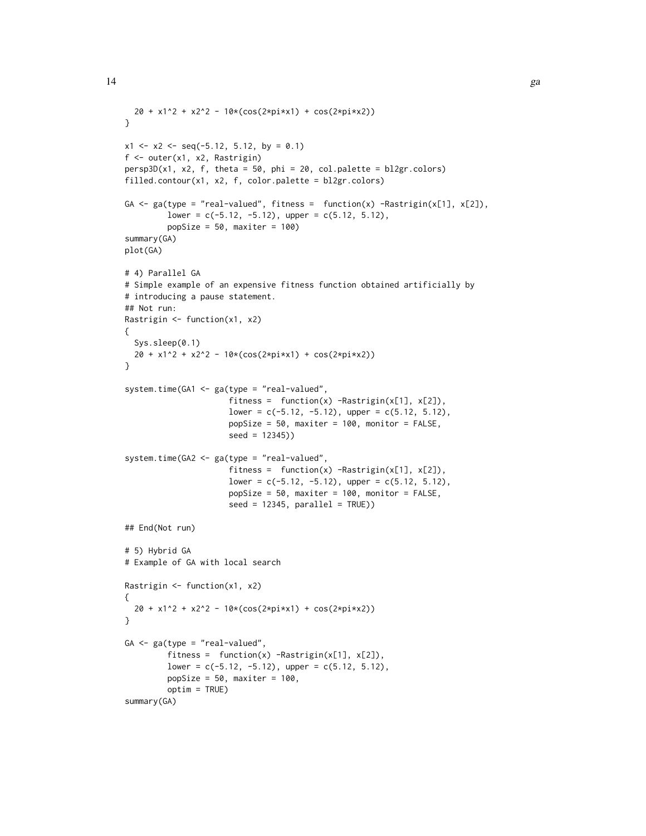```
20 + x1^2 + x2^2 - 10*(\cos(2*pi*x1) + \cos(2*pi*x2))}
x1 \le -x2 \le -\text{seq}(-5.12, 5.12, by = 0.1)f <- outer(x1, x2, Rastrigin)
persp3D(x1, x2, f, theta = 50, phi = 20, col.path = 12gr.close)filled.contour(x1, x2, f, color.palette = bl2gr.colors)
GA \leq ga(type = "real-valued", fitness = function(x) -Rastrigin(x[1], x[2]),
         lower = c(-5.12, -5.12), upper = c(5.12, 5.12),
         popSize = 50, maxiter = 100)
summary(GA)
plot(GA)
# 4) Parallel GA
# Simple example of an expensive fitness function obtained artificially by
# introducing a pause statement.
## Not run:
Rastrigin <- function(x1, x2)
{
  Sys.sleep(0.1)
  20 + x1^2 + x2^2 - 10*(\cos(2*pi*x1) + \cos(2*pi*x2))}
system.time(GA1 <- ga(type = "real-valued",
                      fitness = function(x) -Rastrigin(x[1], x[2]),
                      lower = c(-5.12, -5.12), upper = c(5.12, 5.12),popSize = 50, maxiter = 100, monitor = FALSE,
                      seed = 12345))
system.time(GA2 <- ga(type = "real-valued",
                      fitness = function(x) -Rastrigin(x[1], x[2]),
                      lower = c(-5.12, -5.12), upper = c(5.12, 5.12),
                      popSize = 50, maxiter = 100, monitor = FALSE,
                      seed = 12345, parallel = TRUE)
## End(Not run)
# 5) Hybrid GA
# Example of GA with local search
Rastrigin <- function(x1, x2)
{
  20 + x1^2 + x2^2 - 10*(cos(2*pi*x1) + cos(2*pi*x2))
}
GA <- ga(type = "real-valued",
         fitness = function(x) -Rastrigin(x[1], x[2]),
         lower = c(-5.12, -5.12), upper = c(5.12, 5.12),popSize = 50, maxiter = 100,
         optim = TRUE)
summary(GA)
```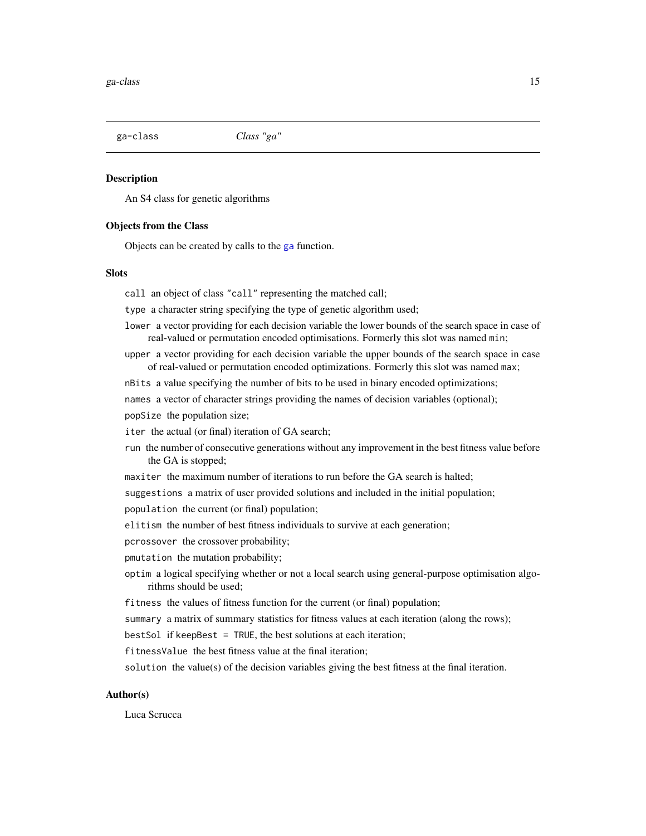<span id="page-14-1"></span><span id="page-14-0"></span>ga-class *Class "ga"*

#### **Description**

An S4 class for genetic algorithms

#### Objects from the Class

Objects can be created by calls to the [ga](#page-8-1) function.

# **Slots**

call an object of class "call" representing the matched call;

type a character string specifying the type of genetic algorithm used;

- lower a vector providing for each decision variable the lower bounds of the search space in case of real-valued or permutation encoded optimisations. Formerly this slot was named min;
- upper a vector providing for each decision variable the upper bounds of the search space in case of real-valued or permutation encoded optimizations. Formerly this slot was named max;

nBits a value specifying the number of bits to be used in binary encoded optimizations;

- names a vector of character strings providing the names of decision variables (optional);
- popSize the population size;
- iter the actual (or final) iteration of GA search;
- run the number of consecutive generations without any improvement in the best fitness value before the GA is stopped;
- maxiter the maximum number of iterations to run before the GA search is halted;
- suggestions a matrix of user provided solutions and included in the initial population;
- population the current (or final) population;
- elitism the number of best fitness individuals to survive at each generation;
- pcrossover the crossover probability;
- pmutation the mutation probability;
- optim a logical specifying whether or not a local search using general-purpose optimisation algorithms should be used;
- fitness the values of fitness function for the current (or final) population;
- summary a matrix of summary statistics for fitness values at each iteration (along the rows);

bestSol if keepBest = TRUE, the best solutions at each iteration;

fitnessValue the best fitness value at the final iteration;

solution the value(s) of the decision variables giving the best fitness at the final iteration.

#### Author(s)

Luca Scrucca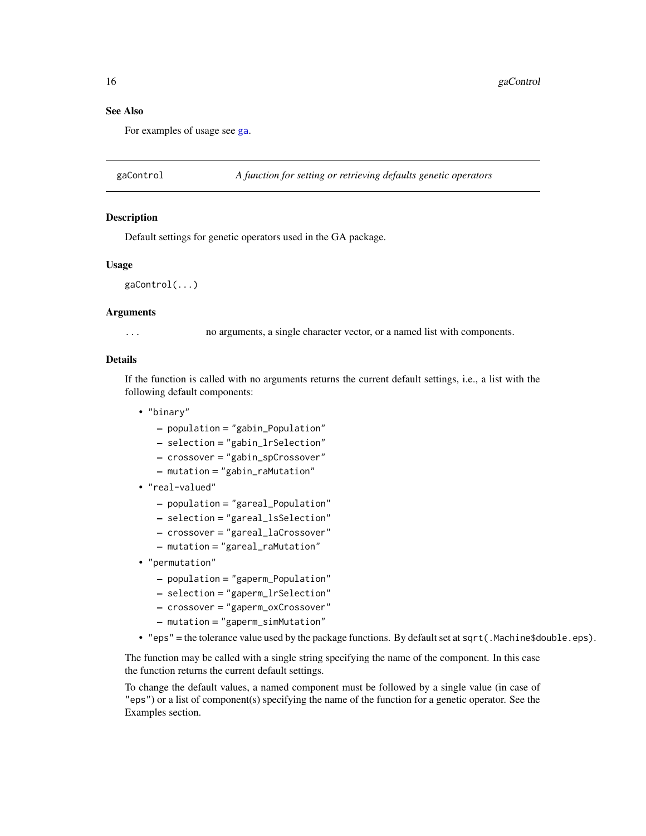#### See Also

For examples of usage see [ga](#page-8-1).

<span id="page-15-1"></span>gaControl *A function for setting or retrieving defaults genetic operators*

#### **Description**

Default settings for genetic operators used in the GA package.

#### Usage

gaControl(...)

# Arguments

... no arguments, a single character vector, or a named list with components.

# Details

If the function is called with no arguments returns the current default settings, i.e., a list with the following default components:

- "binary"
	- population = "gabin\_Population"
	- selection = "gabin\_lrSelection"
	- crossover = "gabin\_spCrossover"
	- mutation = "gabin\_raMutation"
- "real-valued"
	- population = "gareal\_Population"
	- selection = "gareal\_lsSelection"
	- crossover = "gareal\_laCrossover"
	- mutation = "gareal\_raMutation"
- "permutation"
	- population = "gaperm\_Population"
	- selection = "gaperm\_lrSelection"
	- crossover = "gaperm\_oxCrossover"
	- mutation = "gaperm\_simMutation"
- "eps" = the tolerance value used by the package functions. By default set at sqrt(.Machine\$double.eps).

The function may be called with a single string specifying the name of the component. In this case the function returns the current default settings.

To change the default values, a named component must be followed by a single value (in case of "eps") or a list of component(s) specifying the name of the function for a genetic operator. See the Examples section.

<span id="page-15-0"></span>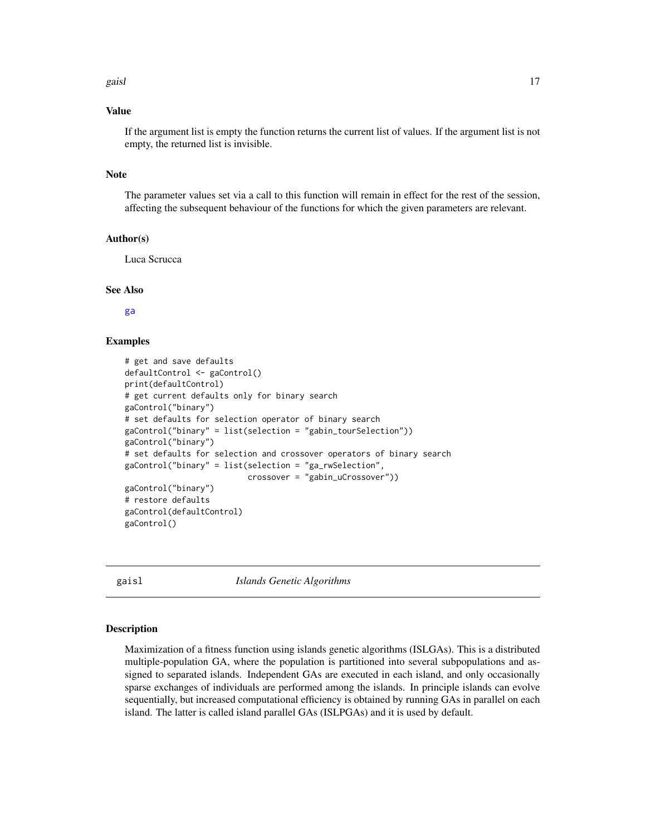#### <span id="page-16-0"></span>gaisl the contract of the contract of the contract of the contract of the contract of the contract of the contract of the contract of the contract of the contract of the contract of the contract of the contract of the cont

#### Value

If the argument list is empty the function returns the current list of values. If the argument list is not empty, the returned list is invisible.

# Note

The parameter values set via a call to this function will remain in effect for the rest of the session, affecting the subsequent behaviour of the functions for which the given parameters are relevant.

#### Author(s)

Luca Scrucca

#### See Also

[ga](#page-8-1)

# Examples

```
# get and save defaults
defaultControl <- gaControl()
print(defaultControl)
# get current defaults only for binary search
gaControl("binary")
# set defaults for selection operator of binary search
gaControl("binary" = list(selection = "gabin_tourSelection"))
gaControl("binary")
# set defaults for selection and crossover operators of binary search
gaControl("binary" = list(selection = "ga_rwSelection",
                          crossover = "gabin_uCrossover"))
gaControl("binary")
# restore defaults
gaControl(defaultControl)
gaControl()
```
<span id="page-16-1"></span>gaisl *Islands Genetic Algorithms*

#### Description

Maximization of a fitness function using islands genetic algorithms (ISLGAs). This is a distributed multiple-population GA, where the population is partitioned into several subpopulations and assigned to separated islands. Independent GAs are executed in each island, and only occasionally sparse exchanges of individuals are performed among the islands. In principle islands can evolve sequentially, but increased computational efficiency is obtained by running GAs in parallel on each island. The latter is called island parallel GAs (ISLPGAs) and it is used by default.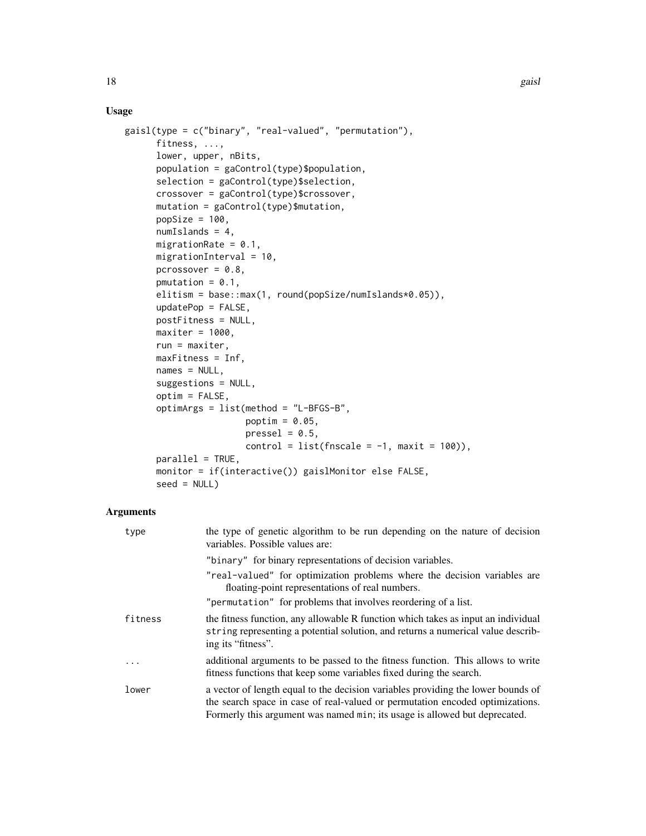# Usage

```
gaisl(type = c("binary", "real-valued", "permutation"),
     fitness, ...,
      lower, upper, nBits,
      population = gaControl(type)$population,
      selection = gaControl(type)$selection,
      crossover = gaControl(type)$crossover,
      mutation = gaControl(type)$mutation,
      popSize = 100,
      numIslands = 4,
     migrationRate = 0.1,
     migrationInterval = 10,
      pcrossover = 0.8,
      pmutation = 0.1,
      elitism = base::max(1, round(popSize/numIslands*0.05)),
      updatePop = FALSE,
      postFitness = NULL,
     maxiter = 1000,
      run = maxiter,
     maxFitness = Inf,
      names = NULL,
      suggestions = NULL,
      optim = FALSE,
      optimArgs = list(method = "L-BFGS-B",
                       poptim = 0.05,
                       presel = 0.5,
                       control = list(fnscale = -1, maxit = 100)),parallel = TRUE,
     monitor = if(interactive()) gaislMonitor else FALSE,
      seed = NULL)
```
#### Arguments

| type    | the type of genetic algorithm to be run depending on the nature of decision<br>variables. Possible values are:                                                                                                                                  |
|---------|-------------------------------------------------------------------------------------------------------------------------------------------------------------------------------------------------------------------------------------------------|
|         | "binary" for binary representations of decision variables.                                                                                                                                                                                      |
|         | "real-valued" for optimization problems where the decision variables are<br>floating-point representations of real numbers.                                                                                                                     |
|         | "permutation" for problems that involves reordering of a list.                                                                                                                                                                                  |
| fitness | the fitness function, any allowable R function which takes as input an individual<br>string representing a potential solution, and returns a numerical value describ-<br>ing its "fitness".                                                     |
|         | additional arguments to be passed to the fitness function. This allows to write<br>fitness functions that keep some variables fixed during the search.                                                                                          |
| lower   | a vector of length equal to the decision variables providing the lower bounds of<br>the search space in case of real-valued or permutation encoded optimizations.<br>Formerly this argument was named min; its usage is allowed but deprecated. |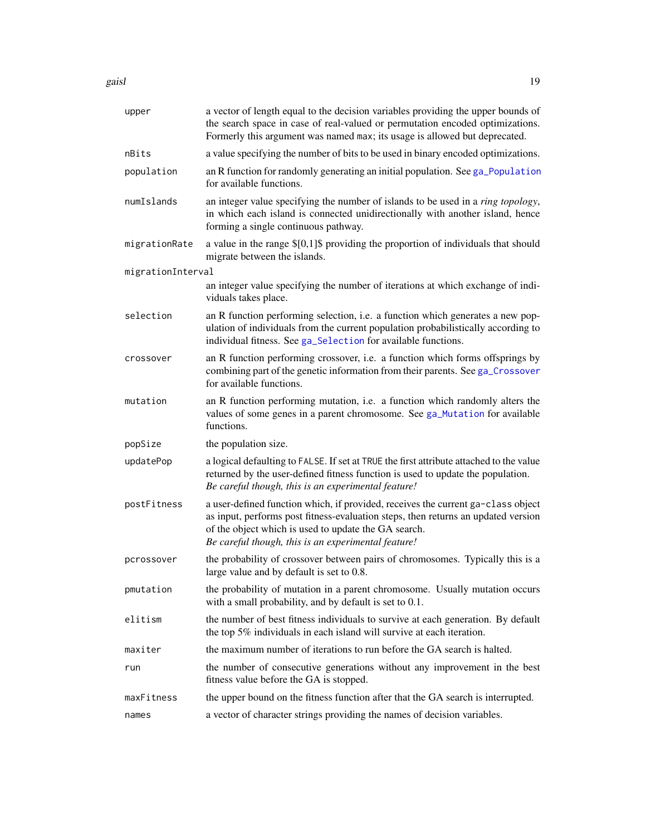<span id="page-18-0"></span>gaisl the contract of the contract of the contract of the contract of the contract of the contract of the contract of the contract of the contract of the contract of the contract of the contract of the contract of the cont

| upper             | a vector of length equal to the decision variables providing the upper bounds of                                                                                                                                                                                                     |
|-------------------|--------------------------------------------------------------------------------------------------------------------------------------------------------------------------------------------------------------------------------------------------------------------------------------|
|                   | the search space in case of real-valued or permutation encoded optimizations.<br>Formerly this argument was named max; its usage is allowed but deprecated.                                                                                                                          |
| nBits             | a value specifying the number of bits to be used in binary encoded optimizations.                                                                                                                                                                                                    |
| population        | an R function for randomly generating an initial population. See ga_Population<br>for available functions.                                                                                                                                                                           |
| numIslands        | an integer value specifying the number of islands to be used in a <i>ring topology</i> ,<br>in which each island is connected unidirectionally with another island, hence<br>forming a single continuous pathway.                                                                    |
| migrationRate     | a value in the range $[0,1]$ \$ providing the proportion of individuals that should<br>migrate between the islands.                                                                                                                                                                  |
| migrationInterval |                                                                                                                                                                                                                                                                                      |
|                   | an integer value specifying the number of iterations at which exchange of indi-<br>viduals takes place.                                                                                                                                                                              |
| selection         | an R function performing selection, i.e. a function which generates a new pop-<br>ulation of individuals from the current population probabilistically according to<br>individual fitness. See ga_Selection for available functions.                                                 |
| crossover         | an R function performing crossover, i.e. a function which forms offsprings by<br>combining part of the genetic information from their parents. See ga_Crossover<br>for available functions.                                                                                          |
| mutation          | an R function performing mutation, i.e. a function which randomly alters the<br>values of some genes in a parent chromosome. See ga_Mutation for available<br>functions.                                                                                                             |
| popSize           | the population size.                                                                                                                                                                                                                                                                 |
| updatePop         | a logical defaulting to FALSE. If set at TRUE the first attribute attached to the value<br>returned by the user-defined fitness function is used to update the population.<br>Be careful though, this is an experimental feature!                                                    |
| postFitness       | a user-defined function which, if provided, receives the current ga-class object<br>as input, performs post fitness-evaluation steps, then returns an updated version<br>of the object which is used to update the GA search.<br>Be careful though, this is an experimental feature! |
| pcrossover        | the probability of crossover between pairs of chromosomes. Typically this is a<br>large value and by default is set to 0.8.                                                                                                                                                          |
| pmutation         | the probability of mutation in a parent chromosome. Usually mutation occurs<br>with a small probability, and by default is set to 0.1.                                                                                                                                               |
| elitism           | the number of best fitness individuals to survive at each generation. By default<br>the top 5% individuals in each island will survive at each iteration.                                                                                                                            |
| maxiter           | the maximum number of iterations to run before the GA search is halted.                                                                                                                                                                                                              |
| run               | the number of consecutive generations without any improvement in the best<br>fitness value before the GA is stopped.                                                                                                                                                                 |
| maxFitness        | the upper bound on the fitness function after that the GA search is interrupted.                                                                                                                                                                                                     |
| names             | a vector of character strings providing the names of decision variables.                                                                                                                                                                                                             |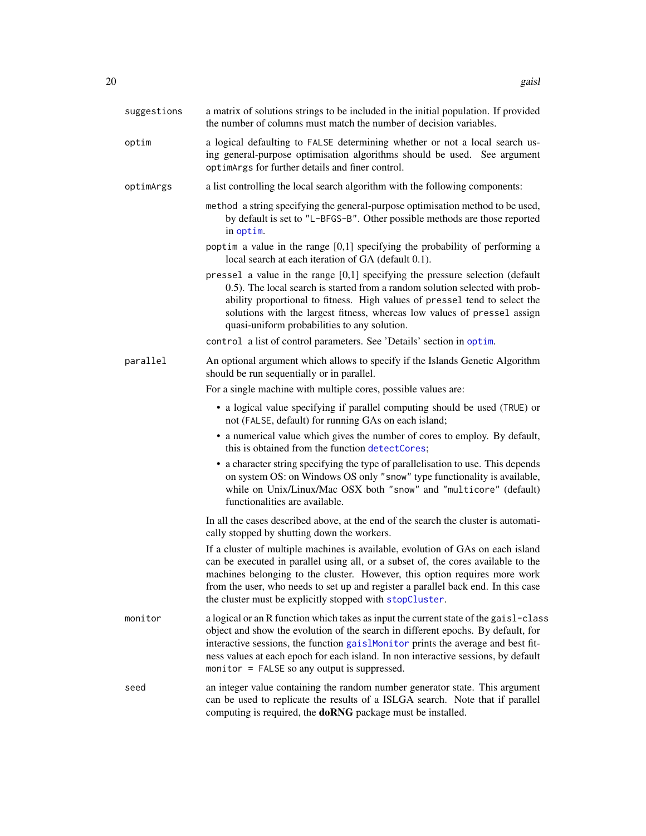<span id="page-19-0"></span>

| suggestions | a matrix of solutions strings to be included in the initial population. If provided<br>the number of columns must match the number of decision variables.                                                                                                                                                                                                                                            |
|-------------|------------------------------------------------------------------------------------------------------------------------------------------------------------------------------------------------------------------------------------------------------------------------------------------------------------------------------------------------------------------------------------------------------|
| optim       | a logical defaulting to FALSE determining whether or not a local search us-<br>ing general-purpose optimisation algorithms should be used. See argument<br>optimArgs for further details and finer control.                                                                                                                                                                                          |
| optimArgs   | a list controlling the local search algorithm with the following components:                                                                                                                                                                                                                                                                                                                         |
|             | method a string specifying the general-purpose optimisation method to be used,<br>by default is set to "L-BFGS-B". Other possible methods are those reported<br>in optim.                                                                                                                                                                                                                            |
|             | poptim a value in the range $[0,1]$ specifying the probability of performing a<br>local search at each iteration of GA (default 0.1).                                                                                                                                                                                                                                                                |
|             | pressel a value in the range $[0,1]$ specifying the pressure selection (default<br>0.5). The local search is started from a random solution selected with prob-<br>ability proportional to fitness. High values of pressel tend to select the<br>solutions with the largest fitness, whereas low values of pressel assign<br>quasi-uniform probabilities to any solution.                            |
|             | control a list of control parameters. See 'Details' section in optim.                                                                                                                                                                                                                                                                                                                                |
| parallel    | An optional argument which allows to specify if the Islands Genetic Algorithm<br>should be run sequentially or in parallel.                                                                                                                                                                                                                                                                          |
|             | For a single machine with multiple cores, possible values are:                                                                                                                                                                                                                                                                                                                                       |
|             | • a logical value specifying if parallel computing should be used (TRUE) or<br>not (FALSE, default) for running GAs on each island;                                                                                                                                                                                                                                                                  |
|             | • a numerical value which gives the number of cores to employ. By default,<br>this is obtained from the function detectCores;                                                                                                                                                                                                                                                                        |
|             | • a character string specifying the type of parallelisation to use. This depends<br>on system OS: on Windows OS only "snow" type functionality is available,<br>while on Unix/Linux/Mac OSX both "snow" and "multicore" (default)<br>functionalities are available.                                                                                                                                  |
|             | In all the cases described above, at the end of the search the cluster is automati-<br>cally stopped by shutting down the workers.                                                                                                                                                                                                                                                                   |
|             | If a cluster of multiple machines is available, evolution of GAs on each island<br>can be executed in parallel using all, or a subset of, the cores available to the<br>machines belonging to the cluster. However, this option requires more work<br>from the user, who needs to set up and register a parallel back end. In this case<br>the cluster must be explicitly stopped with stopCluster.  |
| monitor     | a logical or an R function which takes as input the current state of the gaisl-class<br>object and show the evolution of the search in different epochs. By default, for<br>interactive sessions, the function gaislMonitor prints the average and best fit-<br>ness values at each epoch for each island. In non interactive sessions, by default<br>monitor = $FALSE$ so any output is suppressed. |
| seed        | an integer value containing the random number generator state. This argument<br>can be used to replicate the results of a ISLGA search. Note that if parallel<br>computing is required, the doRNG package must be installed.                                                                                                                                                                         |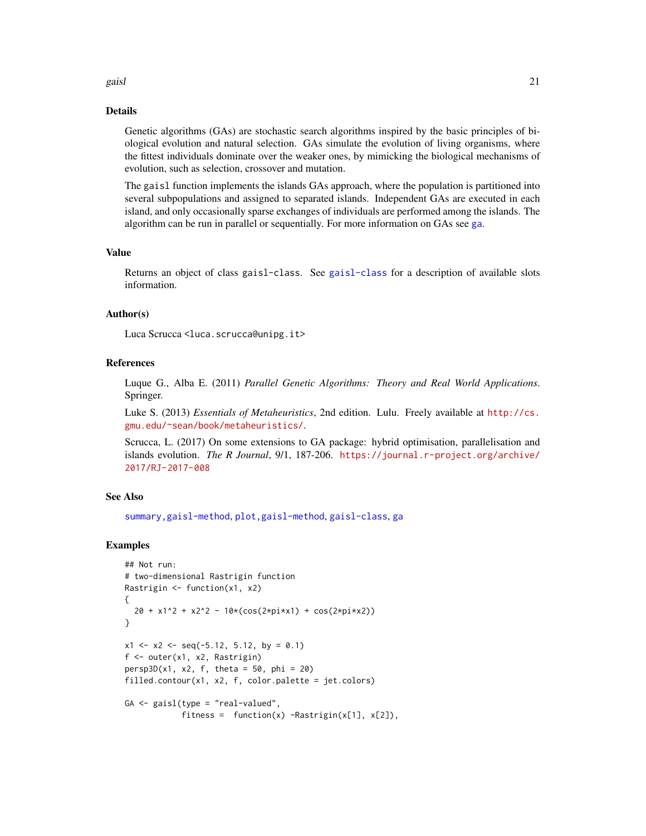#### <span id="page-20-0"></span>gaisl **21**

#### Details

Genetic algorithms (GAs) are stochastic search algorithms inspired by the basic principles of biological evolution and natural selection. GAs simulate the evolution of living organisms, where the fittest individuals dominate over the weaker ones, by mimicking the biological mechanisms of evolution, such as selection, crossover and mutation.

The gaisl function implements the islands GAs approach, where the population is partitioned into several subpopulations and assigned to separated islands. Independent GAs are executed in each island, and only occasionally sparse exchanges of individuals are performed among the islands. The algorithm can be run in parallel or sequentially. For more information on GAs see [ga](#page-8-1).

# Value

Returns an object of class gaisl-class. See [gaisl-class](#page-21-1) for a description of available slots information.

#### Author(s)

Luca Scrucca <luca.scrucca@unipg.it>

#### References

Luque G., Alba E. (2011) *Parallel Genetic Algorithms: Theory and Real World Applications*. Springer.

Luke S. (2013) *Essentials of Metaheuristics*, 2nd edition. Lulu. Freely available at [http://cs.](http://cs.gmu.edu/~sean/book/metaheuristics/) [gmu.edu/~sean/book/metaheuristics/](http://cs.gmu.edu/~sean/book/metaheuristics/).

Scrucca, L. (2017) On some extensions to GA package: hybrid optimisation, parallelisation and islands evolution. *The R Journal*, 9/1, 187-206. [https://journal.r-project.org/archive/](https://journal.r-project.org/archive/2017/RJ-2017-008) [2017/RJ-2017-008](https://journal.r-project.org/archive/2017/RJ-2017-008)

#### See Also

[summary,gaisl-method](#page-0-0), [plot,gaisl-method](#page-0-0), [gaisl-class](#page-21-1), [ga](#page-8-1)

#### Examples

```
## Not run:
# two-dimensional Rastrigin function
Rastrigin <- function(x1, x2)
{
 20 + x1^2 + x2^2 - 10*(cos(2*pi*x1) + cos(2*pi*x2))
}
x1 \le -x2 \le -\text{seq}(-5.12, 5.12, by = 0.1)f <- outer(x1, x2, Rastrigin)
persp3D(x1, x2, f, theta = 50, phi = 20)filled.contour(x1, x2, f, color.palette = jet.colors)
GA <- gaisl(type = "real-valued",
            fitness = function(x) -Rastrigin(x[1], x[2]),
```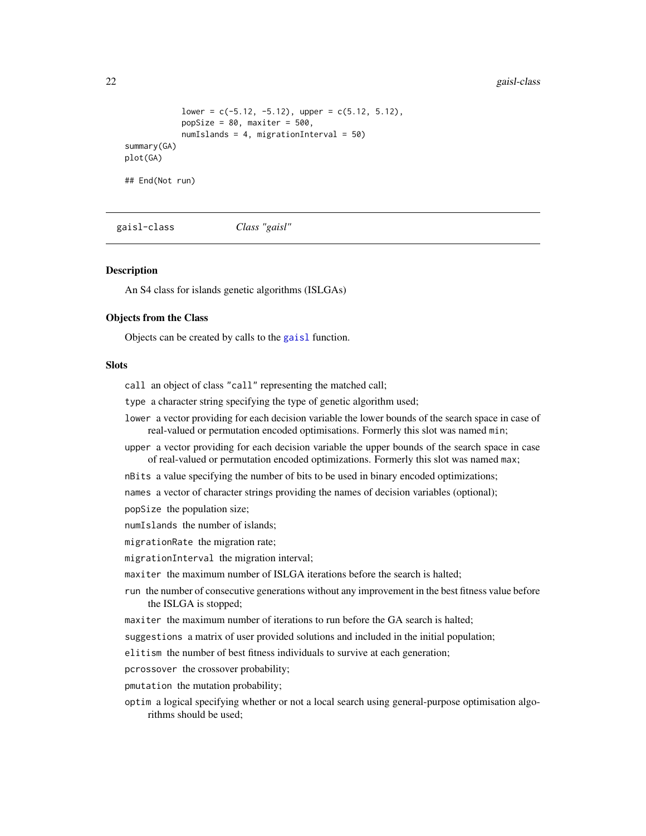```
lower = c(-5.12, -5.12), upper = c(5.12, 5.12),popSize = 80, maxiter = 500,
            numIslands = 4, migrationInterval = 50)
summary(GA)
plot(GA)
## End(Not run)
```
<span id="page-21-1"></span>gaisl-class *Class "gaisl"*

#### Description

An S4 class for islands genetic algorithms (ISLGAs)

#### Objects from the Class

Objects can be created by calls to the [gaisl](#page-16-1) function.

# **Slots**

call an object of class "call" representing the matched call;

type a character string specifying the type of genetic algorithm used;

lower a vector providing for each decision variable the lower bounds of the search space in case of real-valued or permutation encoded optimisations. Formerly this slot was named min;

upper a vector providing for each decision variable the upper bounds of the search space in case of real-valued or permutation encoded optimizations. Formerly this slot was named max;

nBits a value specifying the number of bits to be used in binary encoded optimizations;

names a vector of character strings providing the names of decision variables (optional);

popSize the population size;

numIslands the number of islands;

migrationRate the migration rate;

migrationInterval the migration interval;

maxiter the maximum number of ISLGA iterations before the search is halted;

- run the number of consecutive generations without any improvement in the best fitness value before the ISLGA is stopped;
- maxiter the maximum number of iterations to run before the GA search is halted;

suggestions a matrix of user provided solutions and included in the initial population;

elitism the number of best fitness individuals to survive at each generation;

pcrossover the crossover probability;

- pmutation the mutation probability;
- optim a logical specifying whether or not a local search using general-purpose optimisation algorithms should be used;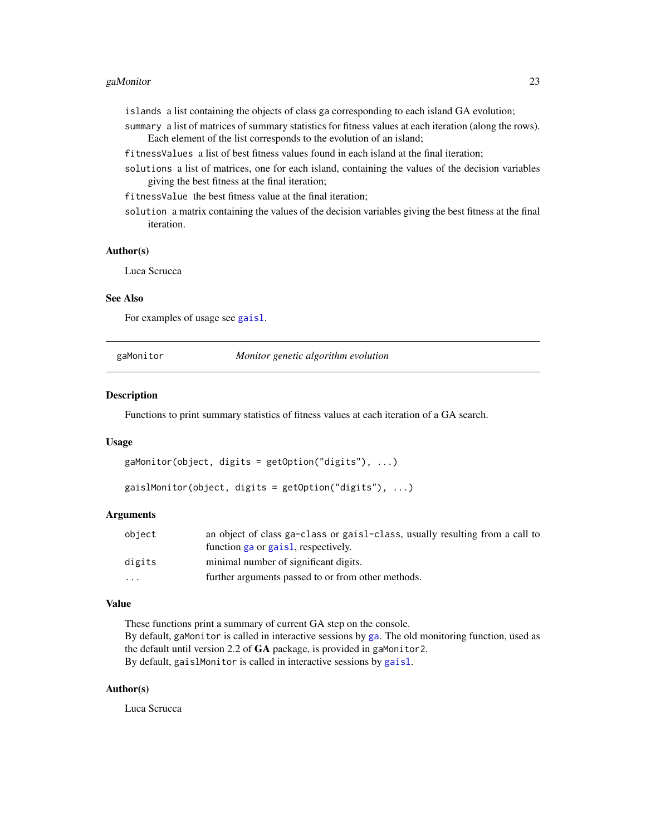#### <span id="page-22-0"></span>gaMonitor 23

- islands a list containing the objects of class ga corresponding to each island GA evolution;
- summary a list of matrices of summary statistics for fitness values at each iteration (along the rows). Each element of the list corresponds to the evolution of an island;
- fitnessValues a list of best fitness values found in each island at the final iteration;
- solutions a list of matrices, one for each island, containing the values of the decision variables giving the best fitness at the final iteration;
- fitnessValue the best fitness value at the final iteration;
- solution a matrix containing the values of the decision variables giving the best fitness at the final iteration.

#### Author(s)

Luca Scrucca

#### See Also

For examples of usage see [gaisl](#page-16-1).

<span id="page-22-1"></span>gaMonitor *Monitor genetic algorithm evolution*

#### <span id="page-22-2"></span>Description

Functions to print summary statistics of fitness values at each iteration of a GA search.

#### Usage

```
gaMonitor(object, digits = getOption("digits"), ...)
```
gaislMonitor(object, digits = getOption("digits"), ...)

#### Arguments

| object   | an object of class ga-class or gaist-class, usually resulting from a call to |
|----------|------------------------------------------------------------------------------|
|          | function ga or gais1, respectively.                                          |
| digits   | minimal number of significant digits.                                        |
| $\cdots$ | further arguments passed to or from other methods.                           |

#### Value

These functions print a summary of current GA step on the console. By default, gaMonitor is called in interactive sessions by [ga](#page-8-1). The old monitoring function, used as the default until version 2.2 of GA package, is provided in gaMonitor2. By default, gaislMonitor is called in interactive sessions by [gaisl](#page-16-1).

#### Author(s)

Luca Scrucca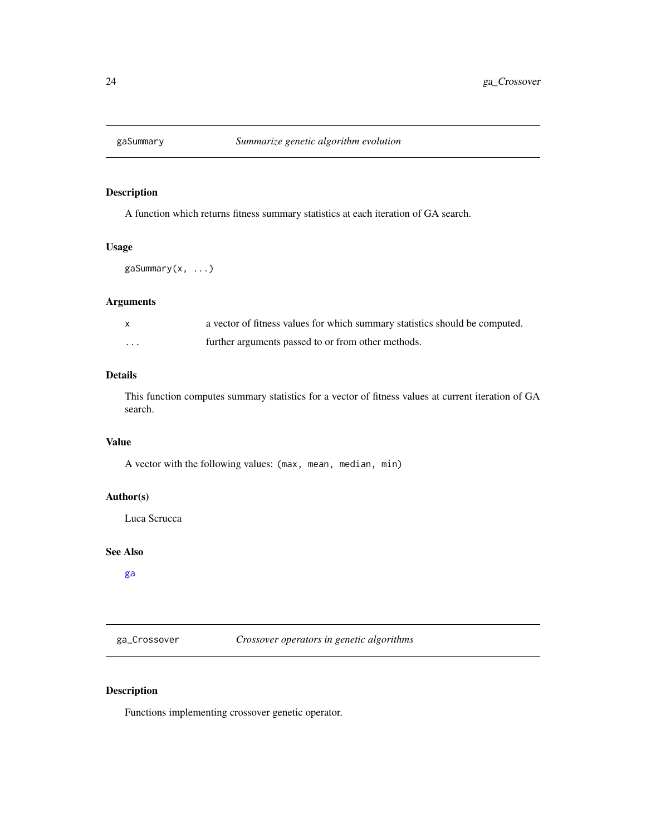<span id="page-23-0"></span>

# Description

A function which returns fitness summary statistics at each iteration of GA search.

# Usage

gaSummary(x, ...)

# Arguments

|   | a vector of fitness values for which summary statistics should be computed. |
|---|-----------------------------------------------------------------------------|
| . | further arguments passed to or from other methods.                          |

# Details

This function computes summary statistics for a vector of fitness values at current iteration of GA search.

# Value

A vector with the following values: (max, mean, median, min)

#### Author(s)

Luca Scrucca

# See Also

[ga](#page-8-1)

<span id="page-23-1"></span>ga\_Crossover *Crossover operators in genetic algorithms*

# Description

Functions implementing crossover genetic operator.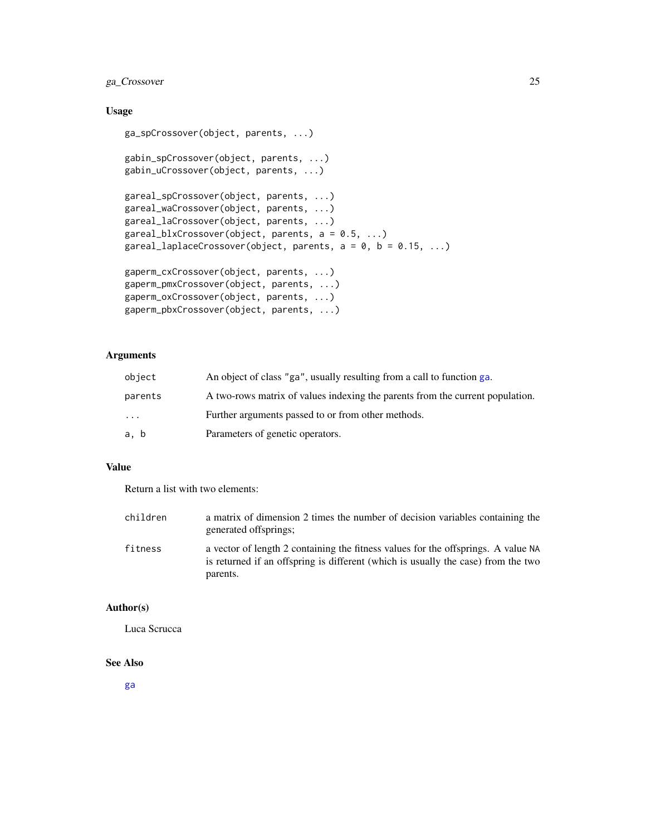# ga\_Crossover 25

# Usage

```
ga_spCrossover(object, parents, ...)
gabin_spCrossover(object, parents, ...)
gabin_uCrossover(object, parents, ...)
gareal_spCrossover(object, parents, ...)
gareal_waCrossover(object, parents, ...)
gareal_laCrossover(object, parents, ...)
gareal_blxCrossover(object, parents, a = 0.5, ...)
gareal_laplaceCrossover(object, parents, a = 0, b = 0.15, ...)
gaperm_cxCrossover(object, parents, ...)
gaperm_pmxCrossover(object, parents, ...)
gaperm_oxCrossover(object, parents, ...)
gaperm_pbxCrossover(object, parents, ...)
```
# Arguments

| object  | An object of class "ga", usually resulting from a call to function ga.        |
|---------|-------------------------------------------------------------------------------|
| parents | A two-rows matrix of values indexing the parents from the current population. |
| $\cdot$ | Further arguments passed to or from other methods.                            |
| a, b    | Parameters of genetic operators.                                              |

#### Value

Return a list with two elements:

| children | a matrix of dimension 2 times the number of decision variables containing the<br>generated offsprings;                                                                             |
|----------|------------------------------------------------------------------------------------------------------------------------------------------------------------------------------------|
| fitness  | a vector of length 2 containing the fitness values for the offsprings. A value NA<br>is returned if an offspring is different (which is usually the case) from the two<br>parents. |

#### Author(s)

Luca Scrucca

# See Also

[ga](#page-8-1)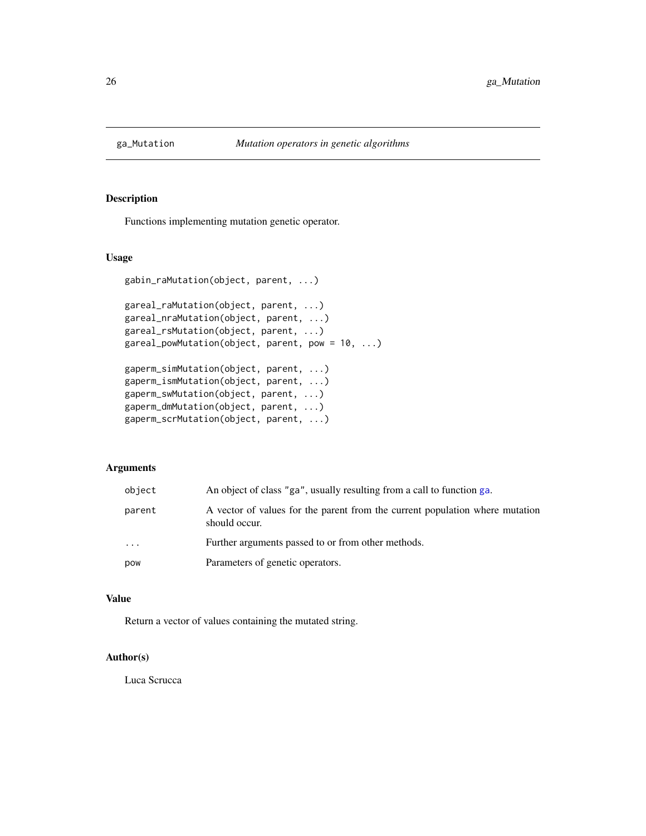<span id="page-25-1"></span><span id="page-25-0"></span>

# Description

Functions implementing mutation genetic operator.

# Usage

```
gabin_raMutation(object, parent, ...)
gareal_raMutation(object, parent, ...)
gareal_nraMutation(object, parent, ...)
gareal_rsMutation(object, parent, ...)
gareal_powMutation(object, parent, pow = 10, ...)
gaperm_simMutation(object, parent, ...)
gaperm_ismMutation(object, parent, ...)
gaperm_swMutation(object, parent, ...)
gaperm_dmMutation(object, parent, ...)
gaperm_scrMutation(object, parent, ...)
```
# Arguments

| object   | An object of class "ga", usually resulting from a call to function ga.                        |
|----------|-----------------------------------------------------------------------------------------------|
| parent   | A vector of values for the parent from the current population where mutation<br>should occur. |
| $\ddots$ | Further arguments passed to or from other methods.                                            |
| pow      | Parameters of genetic operators.                                                              |

# Value

Return a vector of values containing the mutated string.

# Author(s)

Luca Scrucca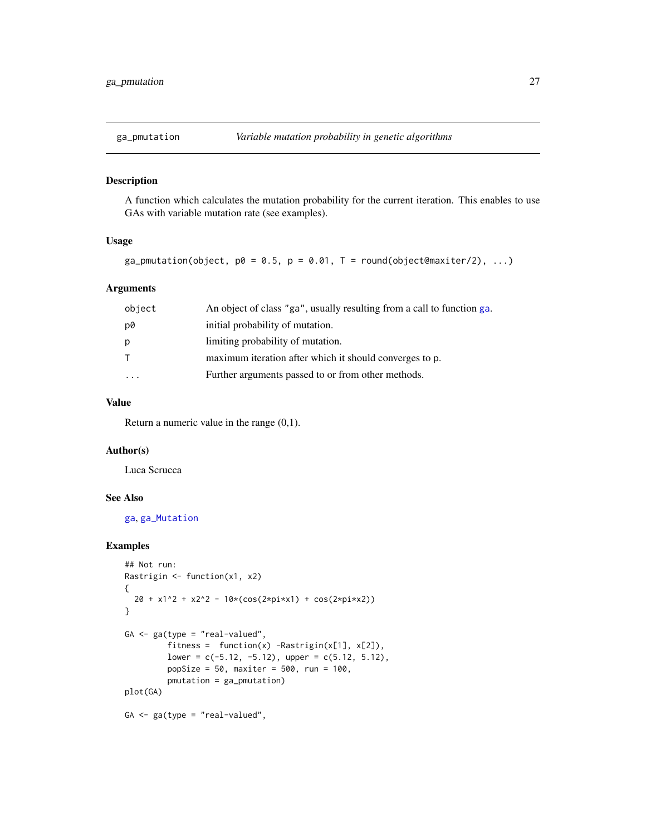<span id="page-26-0"></span>

#### Description

A function which calculates the mutation probability for the current iteration. This enables to use GAs with variable mutation rate (see examples).

## Usage

ga\_pmutation(object,  $p0 = 0.5$ ,  $p = 0.01$ , T = round(object@maxiter/2), ...)

# Arguments

| object                  | An object of class "ga", usually resulting from a call to function ga. |
|-------------------------|------------------------------------------------------------------------|
| p0                      | initial probability of mutation.                                       |
| p                       | limiting probability of mutation.                                      |
|                         | maximum iteration after which it should converges to p.                |
| $\cdot$ $\cdot$ $\cdot$ | Further arguments passed to or from other methods.                     |

# Value

Return a numeric value in the range  $(0,1)$ .

# Author(s)

Luca Scrucca

# See Also

[ga](#page-8-1), [ga\\_Mutation](#page-25-1)

# Examples

```
## Not run:
Rastrigin <- function(x1, x2)
{
  20 + x1^2 + x2^2 - 10*(\cos(2*pi*x1) + \cos(2*pi*x2))}
GA \leq ga(type = "real-valued",
         fitness = function(x) -Rastrigin(x[1], x[2]),
         lower = c(-5.12, -5.12), upper = c(5.12, 5.12),popSize = 50, maxiter = 500, run = 100,
         pmutation = ga_pmutation)
plot(GA)
GA \leq ga(type = "real-valued",
```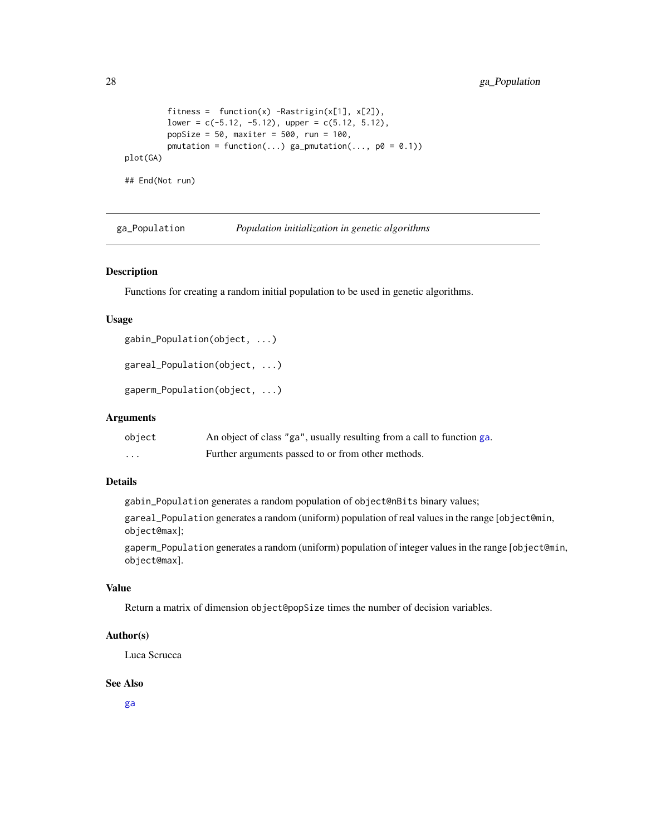```
fitness = function(x) -Rastrigin(x[1], x[2]),
        lower = c(-5.12, -5.12), upper = c(5.12, 5.12),popSize = 50, maxiter = 500, run = 100,
        pmutation = function(...) ga_pmutation(..., p0 = 0.1))
plot(GA)
```
## End(Not run)

<span id="page-27-1"></span>ga\_Population *Population initialization in genetic algorithms*

#### Description

Functions for creating a random initial population to be used in genetic algorithms.

# Usage

```
gabin_Population(object, ...)
```

```
gareal_Population(object, ...)
```

```
gaperm_Population(object, ...)
```
# Arguments

| object   | An object of class "ga", usually resulting from a call to function ga. |
|----------|------------------------------------------------------------------------|
| $\cdots$ | Further arguments passed to or from other methods.                     |

# Details

gabin\_Population generates a random population of object@nBits binary values;

gareal\_Population generates a random (uniform) population of real values in the range [object@min, object@max];

gaperm\_Population generates a random (uniform) population of integer values in the range [object@min, object@max].

# Value

Return a matrix of dimension object@popSize times the number of decision variables.

#### Author(s)

Luca Scrucca

#### See Also

[ga](#page-8-1)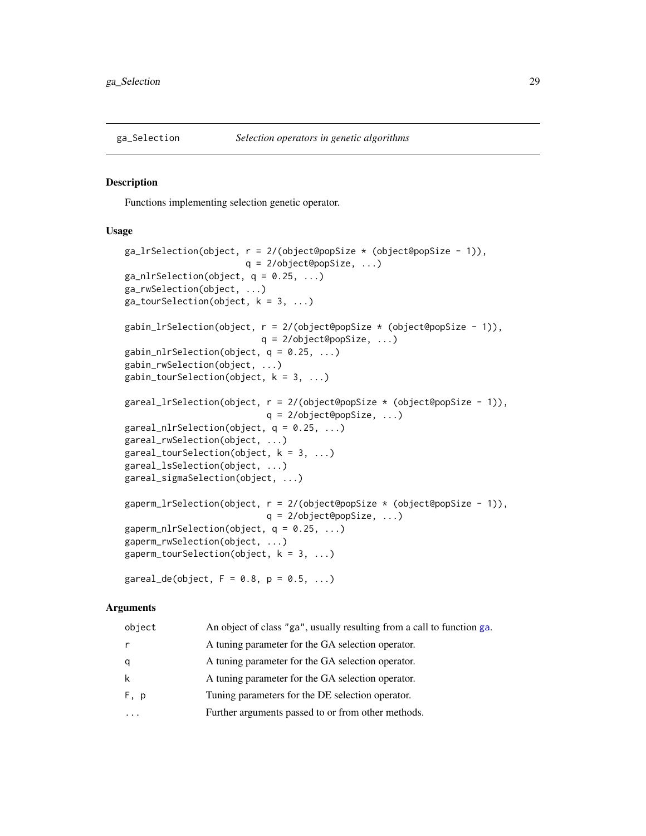<span id="page-28-2"></span><span id="page-28-0"></span>

#### <span id="page-28-1"></span>**Description**

Functions implementing selection genetic operator.

#### Usage

```
ga_lrSelection(object, r = 2/(object@popSize * (object@popSize - 1)),q = 2/object@popSize, ...)
ga\_nlrSelection(object, q = 0.25, ...)ga_rwSelection(object, ...)
ga\_tourSelection(object, k = 3, ...)gabin_lrSelection(object, r = 2/(\text{object@popSize} \times (\text{object@popSize} - 1)),q = 2/object@popSize, ...)
gabin_nlrSelection(object, q = 0.25, ...)
gabin_rwSelection(object, ...)
gabin_tourSelection(object, k = 3, ...)
gareal_lrSelection(object, r = 2/(\text{object@popSize } \star \text{ (object@popSize } - 1)),q = 2/object@popSize, ...)
gareal_nlrSelection(object, q = 0.25, ...)
gareal_rwSelection(object, ...)
gareal_tourSelection(object, k = 3, ...)
gareal_lsSelection(object, ...)
gareal_sigmaSelection(object, ...)
gaperm_lrSelection(object, r = 2/(\text{object@popSize } \times (\text{object@popSize } - 1)),q = 2/object@popSize, ...)
gaperm_nlrSelection(object, q = 0.25, ...)
gaperm_rwSelection(object, ...)
gaperm_tourSelection(object, k = 3, ...)
```
 $gared\_de(object, F = 0.8, p = 0.5, ...)$ 

#### Arguments

| object | An object of class "ga", usually resulting from a call to function ga. |
|--------|------------------------------------------------------------------------|
| r      | A tuning parameter for the GA selection operator.                      |
| q      | A tuning parameter for the GA selection operator.                      |
| k      | A tuning parameter for the GA selection operator.                      |
| F, p   | Tuning parameters for the DE selection operator.                       |
|        | Further arguments passed to or from other methods.                     |
|        |                                                                        |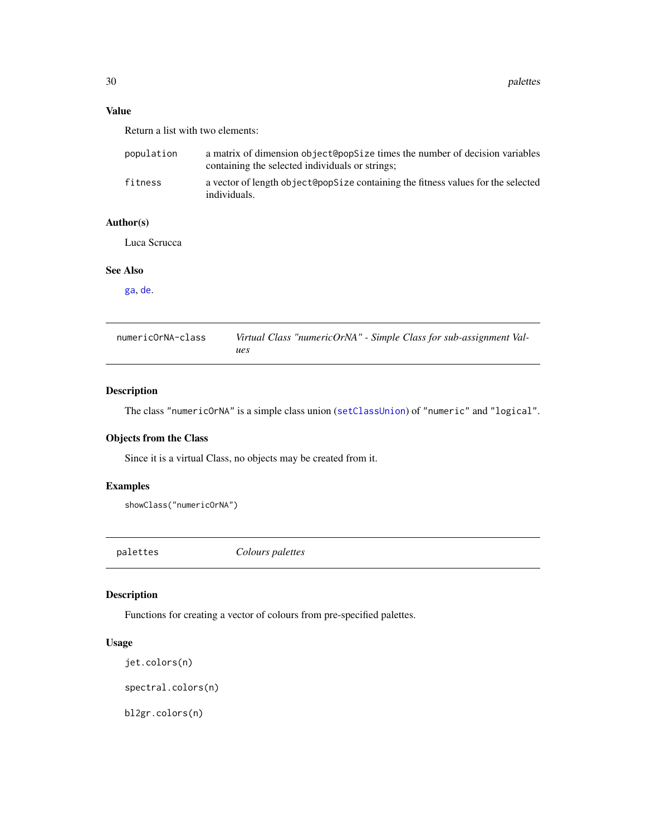# <span id="page-29-0"></span>Value

Return a list with two elements:

| population | a matrix of dimension object@oopSize times the number of decision variables<br>containing the selected individuals or strings; |
|------------|--------------------------------------------------------------------------------------------------------------------------------|
| fitness    | a vector of length object@popSize containing the fitness values for the selected<br>individuals.                               |

# Author(s)

Luca Scrucca

# See Also

[ga](#page-8-1), [de](#page-4-1).

| numericOrNA-class | Virtual Class "numericOrNA" - Simple Class for sub-assignment Val- |
|-------------------|--------------------------------------------------------------------|
|                   | ues                                                                |

# Description

The class "numericOrNA" is a simple class union ([setClassUnion](#page-0-0)) of "numeric" and "logical".

# Objects from the Class

Since it is a virtual Class, no objects may be created from it.

# Examples

showClass("numericOrNA")

palettes *Colours palettes*

# Description

Functions for creating a vector of colours from pre-specified palettes.

# Usage

jet.colors(n)

spectral.colors(n)

bl2gr.colors(n)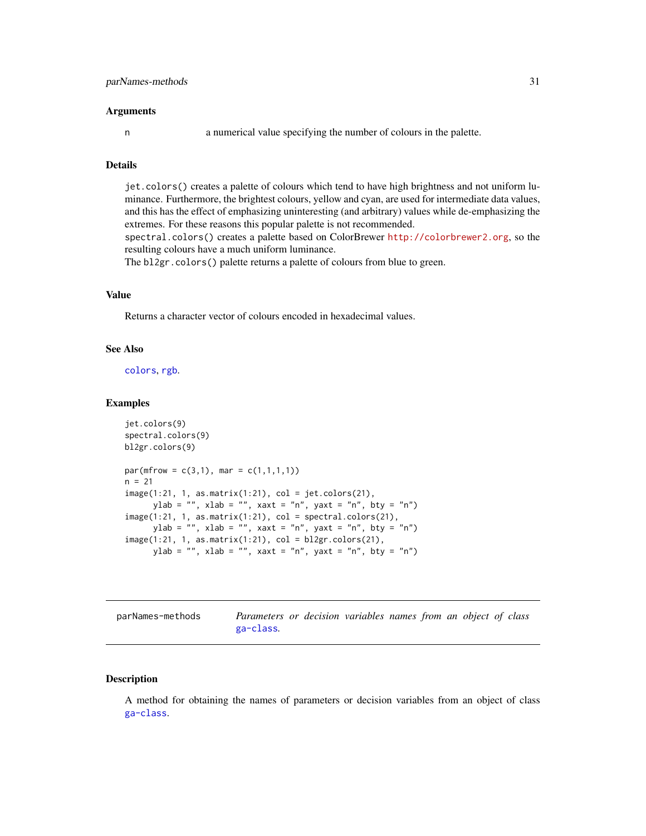<span id="page-30-0"></span>n a numerical value specifying the number of colours in the palette.

# Details

jet.colors() creates a palette of colours which tend to have high brightness and not uniform luminance. Furthermore, the brightest colours, yellow and cyan, are used for intermediate data values, and this has the effect of emphasizing uninteresting (and arbitrary) values while de-emphasizing the extremes. For these reasons this popular palette is not recommended.

spectral.colors() creates a palette based on ColorBrewer <http://colorbrewer2.org>, so the resulting colours have a much uniform luminance.

The bl2gr.colors() palette returns a palette of colours from blue to green.

# Value

Returns a character vector of colours encoded in hexadecimal values.

# See Also

[colors](#page-0-0), [rgb](#page-0-0).

# Examples

```
jet.colors(9)
spectral.colors(9)
bl2gr.colors(9)
par(mfrow = c(3,1), mar = c(1,1,1,1))n = 21image(1:21, 1, as.matrix(1:21), col = jet.colors(21),
      ylab = "", xlab = "", xaxt = "n", yaxt = "n", bty = "n")
image(1:21, 1, as.matrix(1:21), col = spectral.colors(21),
      ylab = "", xlab = "", xaxt = "n", yaxt = "n", bty = "n")
image(1:21, 1, as.matrix(1:21), col = bl2gr.colors(21),
      ylab = "", xlab = "", xaxt = "n", yaxt = "n", bty = "n")
```

| parNames-methods | Parameters or decision variables names from an object of class |  |  |  |  |  |
|------------------|----------------------------------------------------------------|--|--|--|--|--|
|                  | ga-class.                                                      |  |  |  |  |  |

# Description

A method for obtaining the names of parameters or decision variables from an object of class [ga-class](#page-14-1).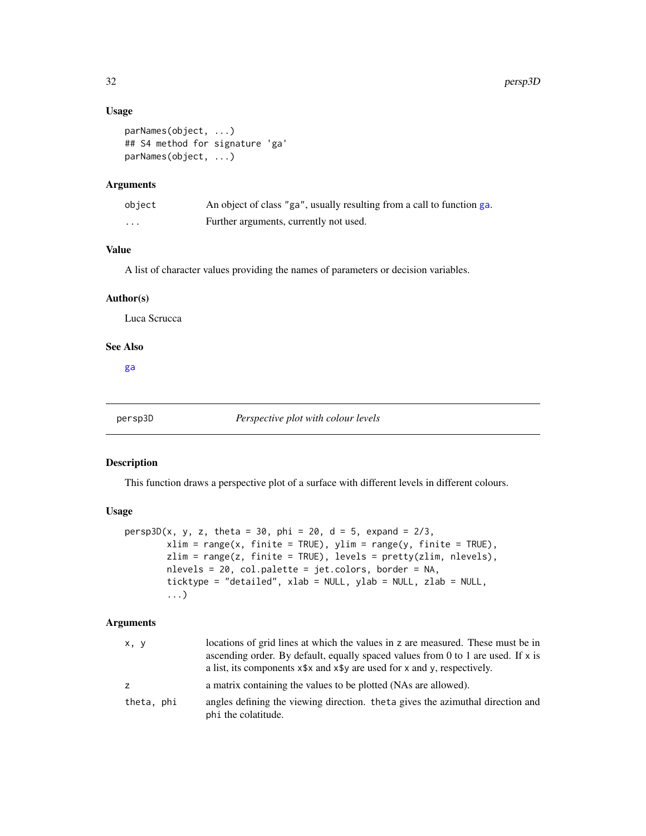# Usage

```
parNames(object, ...)
## S4 method for signature 'ga'
parNames(object, ...)
```
#### Arguments

| object | An object of class "ga", usually resulting from a call to function ga. |
|--------|------------------------------------------------------------------------|
| .      | Further arguments, currently not used.                                 |

# Value

A list of character values providing the names of parameters or decision variables.

#### Author(s)

Luca Scrucca

# See Also

[ga](#page-8-1)

persp3D *Perspective plot with colour levels*

#### Description

This function draws a perspective plot of a surface with different levels in different colours.

# Usage

```
persp3D(x, y, z, theta = 30, phi = 20, d = 5, expand = 2/3,
        xlim = range(x, finite = TRUE), ylim = range(y, finite = TRUE),zlim = range(z, finite = TRUE), levels = pretty(zlim, nlevels),nlevels = 20, col.palette = jet.colors, border = NA,
        ticktype = "detailed", xlab = NULL, ylab = NULL, zlab = NULL,
        ...)
```
# Arguments

| x, y       | locations of grid lines at which the values in z are measured. These must be in<br>ascending order. By default, equally spaced values from 0 to 1 are used. If x is<br>a list, its components $x \rightarrow x$ and $x \rightarrow y$ are used for x and y, respectively. |
|------------|---------------------------------------------------------------------------------------------------------------------------------------------------------------------------------------------------------------------------------------------------------------------------|
| Z.         | a matrix containing the values to be plotted (NAs are allowed).                                                                                                                                                                                                           |
| theta, phi | angles defining the viewing direction. theta gives the azimuthal direction and<br>phi the colatitude.                                                                                                                                                                     |

<span id="page-31-0"></span>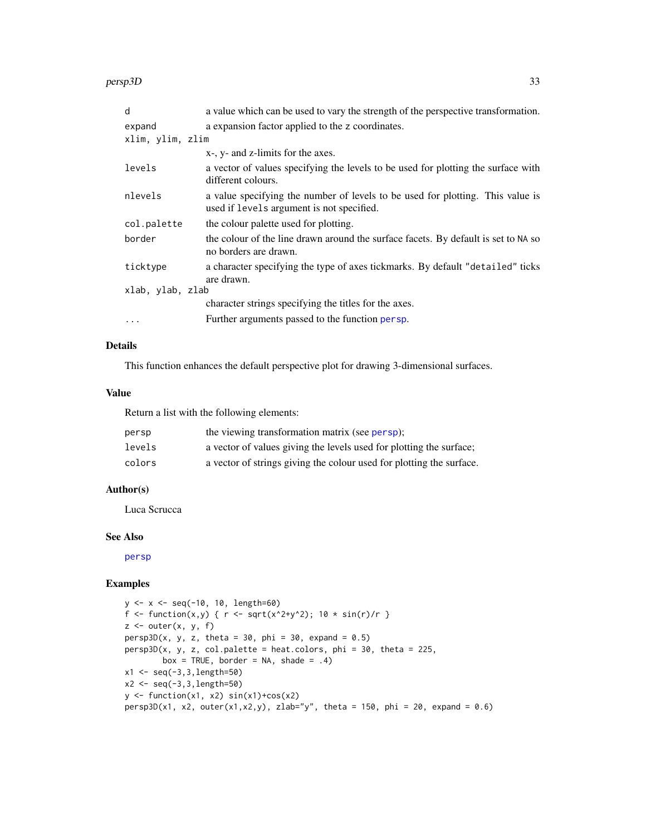<span id="page-32-0"></span>persp3D 33

| d                | a value which can be used to vary the strength of the perspective transformation.                                           |  |  |
|------------------|-----------------------------------------------------------------------------------------------------------------------------|--|--|
| expand           | a expansion factor applied to the z coordinates.                                                                            |  |  |
| xlim, ylim, zlim |                                                                                                                             |  |  |
|                  | x-, y- and z-limits for the axes.                                                                                           |  |  |
| levels           | a vector of values specifying the levels to be used for plotting the surface with<br>different colours.                     |  |  |
| nlevels          | a value specifying the number of levels to be used for plotting. This value is<br>used if levels argument is not specified. |  |  |
| col.palette      | the colour palette used for plotting.                                                                                       |  |  |
| border           | the colour of the line drawn around the surface facets. By default is set to NA so<br>no borders are drawn.                 |  |  |
| ticktype         | a character specifying the type of axes tickmarks. By default "detailed" ticks<br>are drawn.                                |  |  |
| xlab, ylab, zlab |                                                                                                                             |  |  |
|                  | character strings specifying the titles for the axes.                                                                       |  |  |
| $\ddotsc$        | Further arguments passed to the function persp.                                                                             |  |  |

# Details

This function enhances the default perspective plot for drawing 3-dimensional surfaces.

#### Value

Return a list with the following elements:

| persp  | the viewing transformation matrix (see persp);                       |
|--------|----------------------------------------------------------------------|
| levels | a vector of values giving the levels used for plotting the surface;  |
| colors | a vector of strings giving the colour used for plotting the surface. |

# Author(s)

Luca Scrucca

# See Also

[persp](#page-0-0)

# Examples

```
y <- x <- seq(-10, 10, length=60)
f <- function(x,y) { r <- sqrt(x^2+y^2); 10 * sin(r)/r }
z \le outer(x, y, f)
persp3D(x, y, z, theta = 30, phi = 30, expand = 0.5)persp3D(x, y, z, col.palette = heat.colors, phi = 30, theta = 225,
        box = TRUE, border = NA, shade = .4)
x1 <- seq(-3,3,length=50)
x2 <- seq(-3,3,length=50)
y \leftarrow function(x1, x2) sin(x1)+cos(x2)persp3D(x1, x2, outer(x1, x2, y), zlab="y", theta = 150, phi = 20, expand = 0.6)
```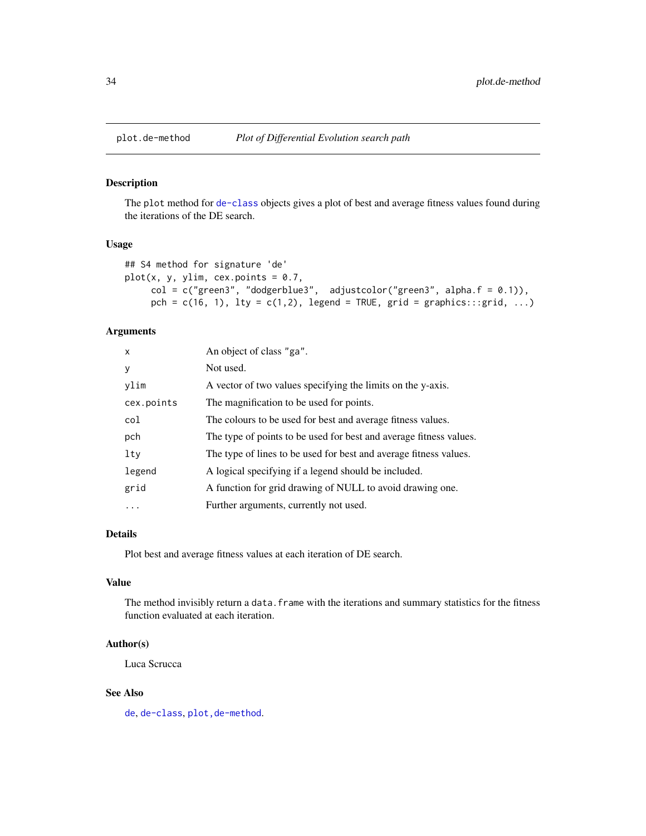<span id="page-33-0"></span>

#### Description

The plot method for [de-class](#page-6-1) objects gives a plot of best and average fitness values found during the iterations of the DE search.

# Usage

```
## S4 method for signature 'de'
plot(x, y, y)im, cex.points = 0.7,
     col = c("green3", "dodgerblue3", adjustcolor("green3", alpha.f = 0.1)),
     pch = c(16, 1), lty = c(1,2), legend = TRUE, grid = graphics:::grid, ...)
```
# Arguments

| $\mathsf{x}$ | An object of class "ga".                                           |
|--------------|--------------------------------------------------------------------|
| y            | Not used.                                                          |
| ylim         | A vector of two values specifying the limits on the y-axis.        |
| cex.points   | The magnification to be used for points.                           |
| col          | The colours to be used for best and average fitness values.        |
| pch          | The type of points to be used for best and average fitness values. |
| lty          | The type of lines to be used for best and average fitness values.  |
| legend       | A logical specifying if a legend should be included.               |
| grid         | A function for grid drawing of NULL to avoid drawing one.          |
| $\cdots$     | Further arguments, currently not used.                             |

# Details

Plot best and average fitness values at each iteration of DE search.

# Value

The method invisibly return a data. frame with the iterations and summary statistics for the fitness function evaluated at each iteration.

# Author(s)

Luca Scrucca

#### See Also

[de](#page-4-1), [de-class](#page-6-1), [plot,de-method](#page-0-0).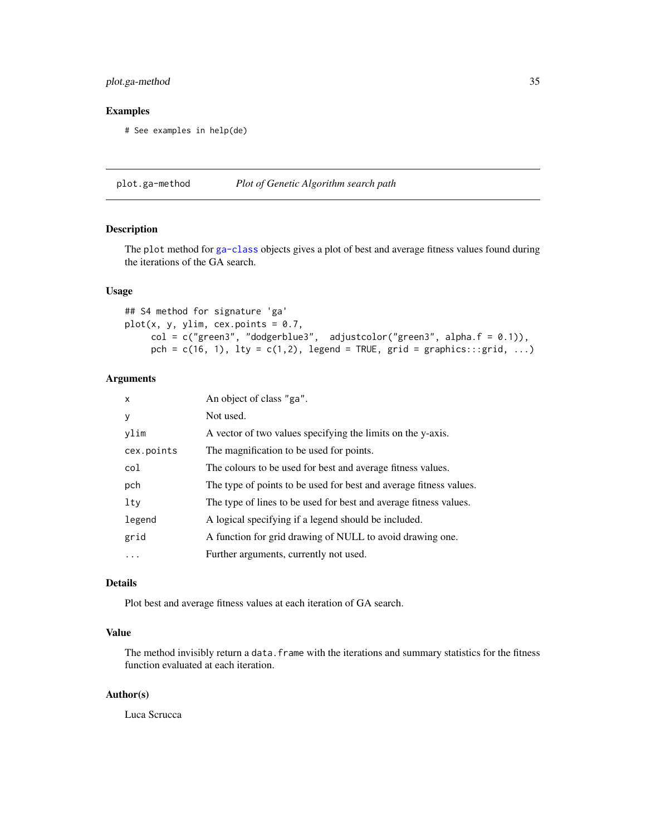# <span id="page-34-0"></span>plot.ga-method 35

# Examples

# See examples in help(de)

plot.ga-method *Plot of Genetic Algorithm search path*

# Description

The plot method for [ga-class](#page-14-1) objects gives a plot of best and average fitness values found during the iterations of the GA search.

# Usage

```
## S4 method for signature 'ga'
plot(x, y, y)im, cex.points = 0.7,
     col = c("green3", "dodgerblue3", adjustcolor("green3", alpha.f = 0.1)),
     pch = c(16, 1), lty = c(1,2), legend = TRUE, grid = graphics:::grid, ...)
```
# Arguments

| $\boldsymbol{\mathsf{x}}$ | An object of class "ga".                                           |
|---------------------------|--------------------------------------------------------------------|
| y                         | Not used.                                                          |
| ylim                      | A vector of two values specifying the limits on the y-axis.        |
| cex.points                | The magnification to be used for points.                           |
| col                       | The colours to be used for best and average fitness values.        |
| pch                       | The type of points to be used for best and average fitness values. |
| lty                       | The type of lines to be used for best and average fitness values.  |
| legend                    | A logical specifying if a legend should be included.               |
| grid                      | A function for grid drawing of NULL to avoid drawing one.          |
| .                         | Further arguments, currently not used.                             |

# Details

Plot best and average fitness values at each iteration of GA search.

# Value

The method invisibly return a data. frame with the iterations and summary statistics for the fitness function evaluated at each iteration.

# Author(s)

Luca Scrucca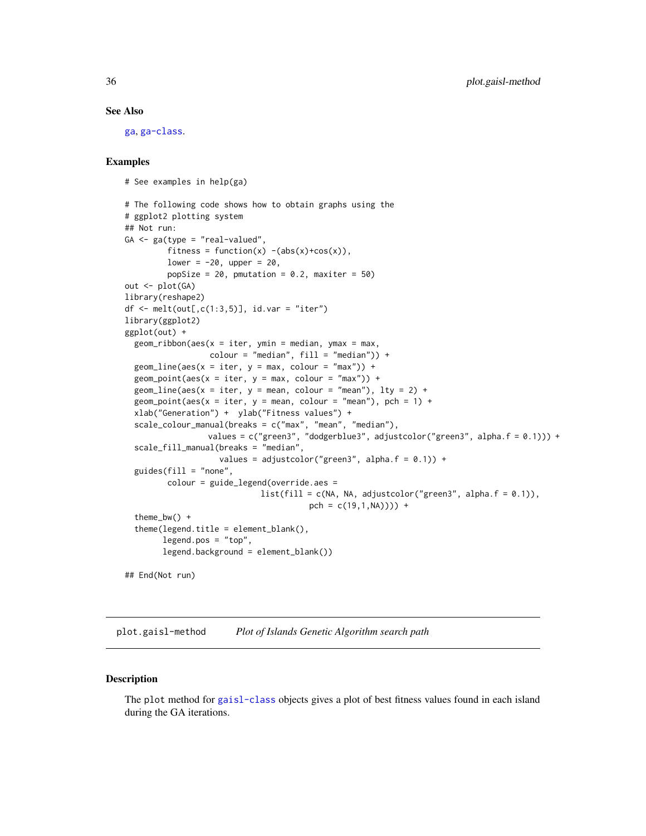#### See Also

[ga](#page-8-1), [ga-class](#page-14-1).

# Examples

```
# See examples in help(ga)
# The following code shows how to obtain graphs using the
# ggplot2 plotting system
## Not run:
GA \leq ga(type = "real-valued",
         fitness = function(x) - (abs(x)+cos(x)),lower = -20, upper = 20,
         popSize = 20, pmutation = 0.2, maxiter = 50)
out <- plot(GA)
library(reshape2)
df \le melt(out[,c(1:3,5)], id.var = "iter")
library(ggplot2)
ggplot(out) +
 geom\_ribbon(aes(x = iter, ymin = median, ymax = max,colour = "median", fill = "median")) +
 geom\_line(aes(x = iter, y = max, colour = "max") +
 geom\_point(aes(x = iter, y = max, colour = "max")) +
 geom_line(aes(x = iter, y = mean, colour = "mean"), lty = 2) +
 geom_point(aes(x = iter, y = mean, colour = "mean"), pch = 1) +
 xlab("Generation") + ylab("Fitness values") +
 scale_colour_manual(breaks = c("max", "mean", "median"),
                 values = c("green3", "dodgerblue3", adjustcolor("green3", alpha.f = 0.1))) +
 scale_fill_manual(breaks = "median",
                    values = adjustcolor("green3", alpha.f = 0.1)) +
 guides(fill = "none",
         colour = guide_legend(override.aes =
                             list(fill = c(NA, NA, adjustment("green3", alpha.f = 0.1)),pch = c(19,1,NA)) +
  theme_bw() +
  theme(legend.title = element_blank(),
       legend.pos = "top",
       legend.background = element_blank())
## End(Not run)
```
plot.gaisl-method *Plot of Islands Genetic Algorithm search path*

#### Description

The plot method for [gaisl-class](#page-21-1) objects gives a plot of best fitness values found in each island during the GA iterations.

<span id="page-35-0"></span>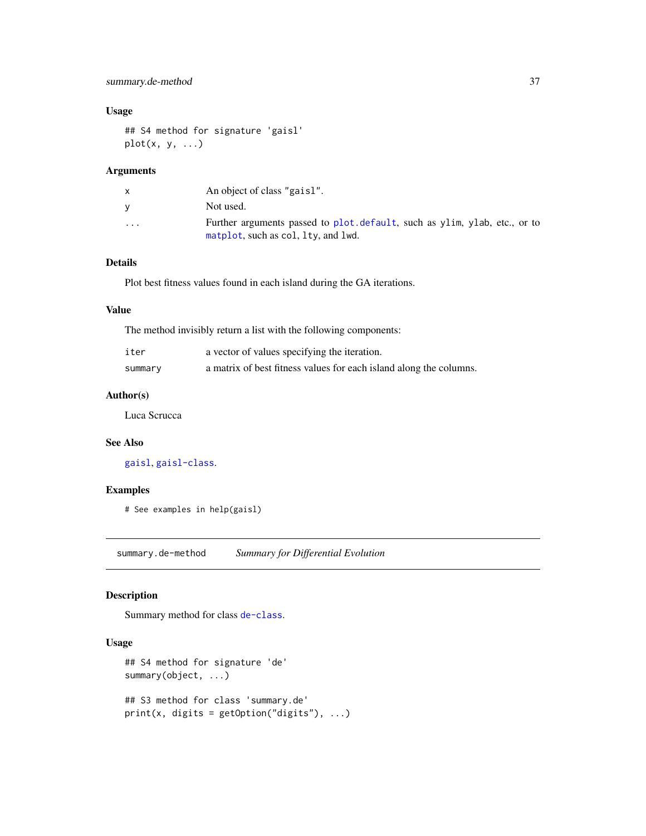# <span id="page-36-0"></span>Usage

```
## S4 method for signature 'gaisl'
plot(x, y, ...)
```
# Arguments

|                         | An object of class "gaisl".                                                                                       |
|-------------------------|-------------------------------------------------------------------------------------------------------------------|
| v                       | Not used.                                                                                                         |
| $\cdot$ $\cdot$ $\cdot$ | Further arguments passed to plot. default, such as ylim, ylab, etc., or to<br>matplot, such as col, lty, and lwd. |

# Details

Plot best fitness values found in each island during the GA iterations.

#### Value

The method invisibly return a list with the following components:

| iter    | a vector of values specifying the iteration.                       |
|---------|--------------------------------------------------------------------|
| summary | a matrix of best fitness values for each island along the columns. |

# Author(s)

Luca Scrucca

#### See Also

[gaisl](#page-16-1), [gaisl-class](#page-21-1).

#### Examples

# See examples in help(gaisl)

summary.de-method *Summary for Differential Evolution*

# Description

Summary method for class [de-class](#page-6-1).

#### Usage

```
## S4 method for signature 'de'
summary(object, ...)
## S3 method for class 'summary.de'
print(x, \text{ digits} = getOption("digits"), ...)
```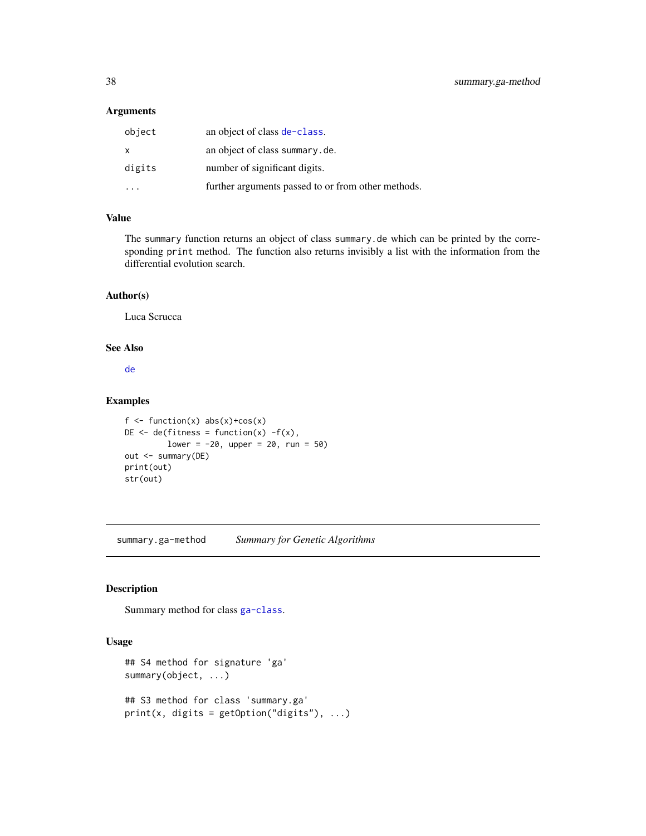<span id="page-37-0"></span>

| object | an object of class de-class.                       |
|--------|----------------------------------------------------|
| X      | an object of class summary.de.                     |
| digits | number of significant digits.                      |
|        | further arguments passed to or from other methods. |

# Value

The summary function returns an object of class summary.de which can be printed by the corresponding print method. The function also returns invisibly a list with the information from the differential evolution search.

# Author(s)

Luca Scrucca

# See Also

[de](#page-4-1)

# Examples

```
f \leftarrow function(x) abs(x)+cos(x)DE \leq de(fitness = function(x) -f(x),
         lower = -20, upper = 20, run = 50)out <- summary(DE)
print(out)
str(out)
```
summary.ga-method *Summary for Genetic Algorithms*

# Description

Summary method for class [ga-class](#page-14-1).

#### Usage

```
## S4 method for signature 'ga'
summary(object, ...)
## S3 method for class 'summary.ga'
print(x, \text{ digits} = getOption("digits"), ...)
```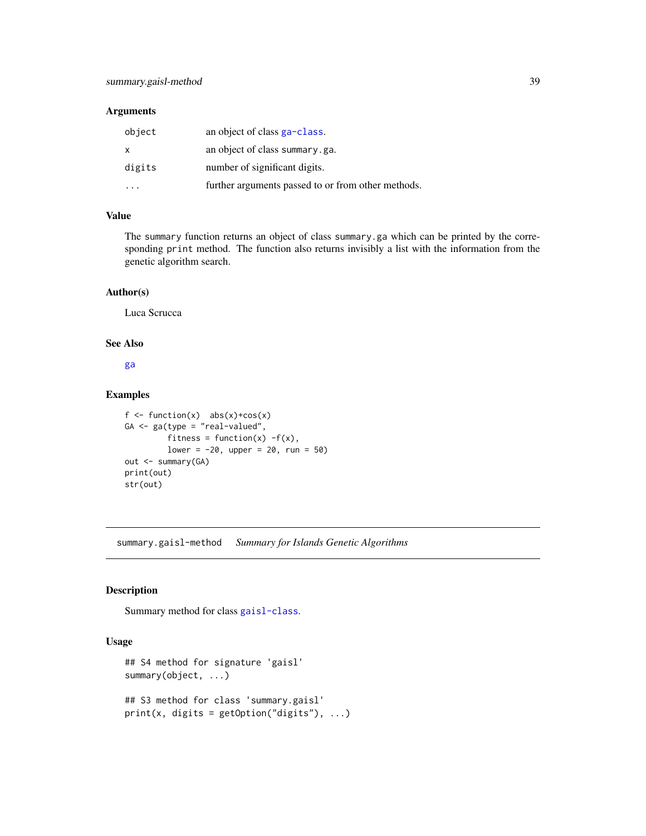<span id="page-38-0"></span>

| object | an object of class ga-class.                       |
|--------|----------------------------------------------------|
| X      | an object of class summary.ga.                     |
| digits | number of significant digits.                      |
|        | further arguments passed to or from other methods. |

# Value

The summary function returns an object of class summary.ga which can be printed by the corresponding print method. The function also returns invisibly a list with the information from the genetic algorithm search.

#### Author(s)

Luca Scrucca

# See Also

[ga](#page-8-1)

# Examples

```
f \leftarrow function(x) abs(x)+cos(x)
GA <- ga(type = "real-valued",
         fitness = function(x) -f(x),
         lower = -20, upper = 20, run = 50)out <- summary(GA)
print(out)
str(out)
```
summary.gaisl-method *Summary for Islands Genetic Algorithms*

#### Description

Summary method for class [gaisl-class](#page-21-1).

# Usage

```
## S4 method for signature 'gaisl'
summary(object, ...)
## S3 method for class 'summary.gaisl'
print(x, digits = getOption("digits"), ...)
```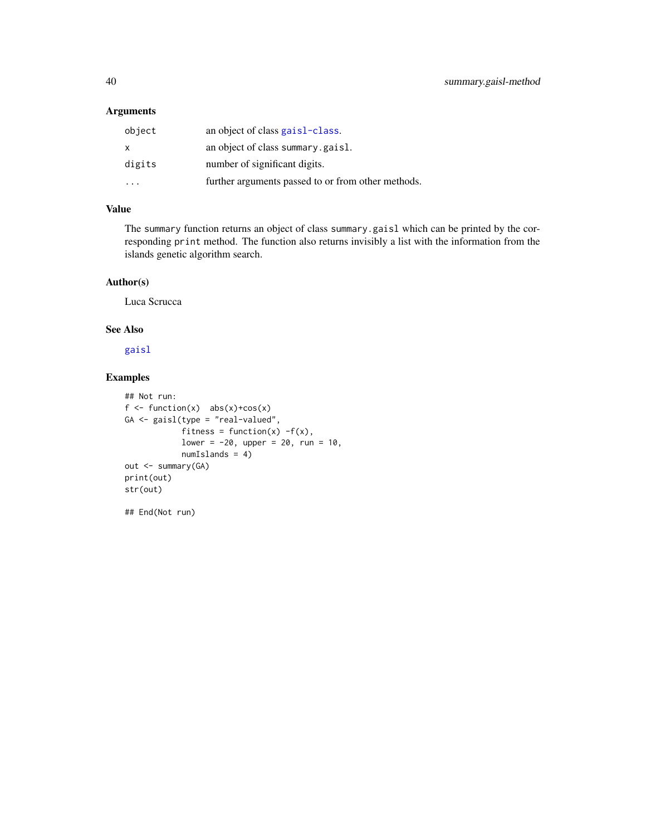| object | an object of class gaisl-class.                    |
|--------|----------------------------------------------------|
| X      | an object of class summary.gaisl.                  |
| digits | number of significant digits.                      |
|        | further arguments passed to or from other methods. |

# Value

The summary function returns an object of class summary.gaisl which can be printed by the corresponding print method. The function also returns invisibly a list with the information from the islands genetic algorithm search.

# Author(s)

Luca Scrucca

## End(Not run)

# See Also

[gaisl](#page-16-1)

# Examples

```
## Not run:
f \leftarrow function(x) abs(x)+cos(x)GA <- gaisl(type = "real-valued",
            fitness = function(x) -f(x),
            lower = -20, upper = 20, run = 10,numIslands = 4)
out <- summary(GA)
print(out)
str(out)
```
<span id="page-39-0"></span>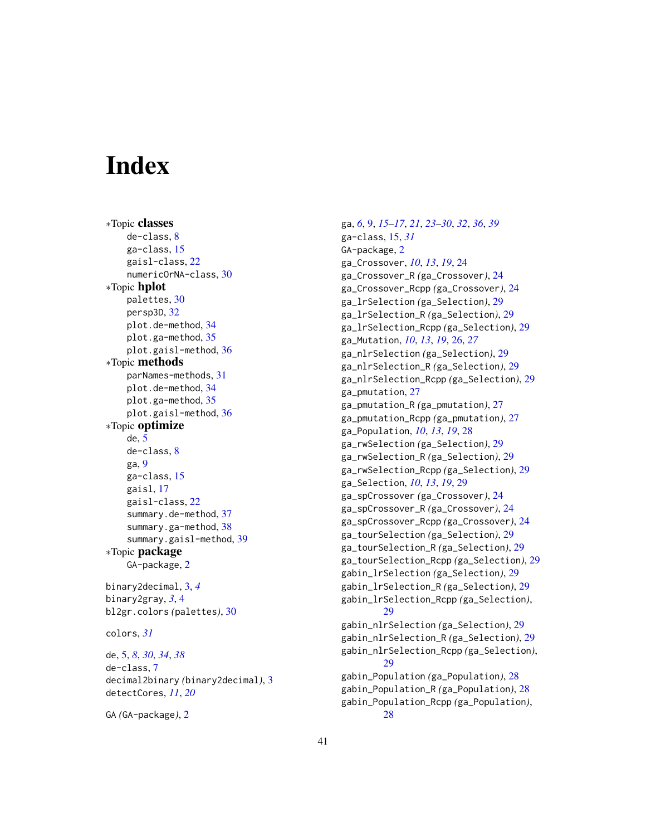# <span id="page-40-0"></span>**Index**

∗Topic classes de-class, [8](#page-7-0) ga-class, [15](#page-14-0) gaisl-class, [22](#page-21-0) numericOrNA-class, [30](#page-29-0) ∗Topic hplot palettes, [30](#page-29-0) persp3D, [32](#page-31-0) plot.de-method, [34](#page-33-0) plot.ga-method, [35](#page-34-0) plot.gaisl-method, [36](#page-35-0) ∗Topic methods parNames-methods, [31](#page-30-0) plot.de-method, [34](#page-33-0) plot.ga-method, [35](#page-34-0) plot.gaisl-method, [36](#page-35-0) ∗Topic optimize de, [5](#page-4-0) de-class, [8](#page-7-0) ga, [9](#page-8-0) ga-class, [15](#page-14-0) gaisl, [17](#page-16-0) gaisl-class, [22](#page-21-0) summary.de-method, [37](#page-36-0) summary.ga-method, [38](#page-37-0) summary.gaisl-method, [39](#page-38-0) ∗Topic package GA-package, [2](#page-1-0) binary2decimal, [3,](#page-2-0) *[4](#page-3-0)* binary2gray, *[3](#page-2-0)*, [4](#page-3-0) bl2gr.colors *(*palettes*)*, [30](#page-29-0) colors, *[31](#page-30-0)* de, [5,](#page-4-0) *[8](#page-7-0)*, *[30](#page-29-0)*, *[34](#page-33-0)*, *[38](#page-37-0)* de-class, [7](#page-6-0)

decimal2binary *(*binary2decimal*)*, [3](#page-2-0) detectCores, *[11](#page-10-0)*, *[20](#page-19-0)*

```
GA (GA-package), 2
```
ga, *[6](#page-5-0)*, [9,](#page-8-0) *[15](#page-14-0)[–17](#page-16-0)*, *[21](#page-20-0)*, *[23](#page-22-0)[–30](#page-29-0)*, *[32](#page-31-0)*, *[36](#page-35-0)*, *[39](#page-38-0)* ga-class, [15,](#page-14-0) *[31](#page-30-0)* GA-package, [2](#page-1-0) ga\_Crossover, *[10](#page-9-0)*, *[13](#page-12-0)*, *[19](#page-18-0)*, [24](#page-23-0) ga\_Crossover\_R *(*ga\_Crossover*)*, [24](#page-23-0) ga\_Crossover\_Rcpp *(*ga\_Crossover*)*, [24](#page-23-0) ga\_lrSelection *(*ga\_Selection*)*, [29](#page-28-0) ga\_lrSelection\_R *(*ga\_Selection*)*, [29](#page-28-0) ga\_lrSelection\_Rcpp *(*ga\_Selection*)*, [29](#page-28-0) ga\_Mutation, *[10](#page-9-0)*, *[13](#page-12-0)*, *[19](#page-18-0)*, [26,](#page-25-0) *[27](#page-26-0)* ga\_nlrSelection *(*ga\_Selection*)*, [29](#page-28-0) ga\_nlrSelection\_R *(*ga\_Selection*)*, [29](#page-28-0) ga\_nlrSelection\_Rcpp *(*ga\_Selection*)*, [29](#page-28-0) ga\_pmutation, [27](#page-26-0) ga\_pmutation\_R *(*ga\_pmutation*)*, [27](#page-26-0) ga\_pmutation\_Rcpp *(*ga\_pmutation*)*, [27](#page-26-0) ga\_Population, *[10](#page-9-0)*, *[13](#page-12-0)*, *[19](#page-18-0)*, [28](#page-27-0) ga\_rwSelection *(*ga\_Selection*)*, [29](#page-28-0) ga\_rwSelection\_R *(*ga\_Selection*)*, [29](#page-28-0) ga\_rwSelection\_Rcpp *(*ga\_Selection*)*, [29](#page-28-0) ga\_Selection, *[10](#page-9-0)*, *[13](#page-12-0)*, *[19](#page-18-0)*, [29](#page-28-0) ga\_spCrossover *(*ga\_Crossover*)*, [24](#page-23-0) ga\_spCrossover\_R *(*ga\_Crossover*)*, [24](#page-23-0) ga\_spCrossover\_Rcpp *(*ga\_Crossover*)*, [24](#page-23-0) ga\_tourSelection *(*ga\_Selection*)*, [29](#page-28-0) ga\_tourSelection\_R *(*ga\_Selection*)*, [29](#page-28-0) ga\_tourSelection\_Rcpp *(*ga\_Selection*)*, [29](#page-28-0) gabin\_lrSelection *(*ga\_Selection*)*, [29](#page-28-0) gabin\_lrSelection\_R *(*ga\_Selection*)*, [29](#page-28-0) gabin\_lrSelection\_Rcpp *(*ga\_Selection*)*, [29](#page-28-0) gabin\_nlrSelection *(*ga\_Selection*)*, [29](#page-28-0) gabin\_nlrSelection\_R *(*ga\_Selection*)*, [29](#page-28-0) gabin\_nlrSelection\_Rcpp *(*ga\_Selection*)*, [29](#page-28-0) gabin\_Population *(*ga\_Population*)*, [28](#page-27-0) gabin\_Population\_R *(*ga\_Population*)*, [28](#page-27-0) gabin\_Population\_Rcpp *(*ga\_Population*)*, [28](#page-27-0)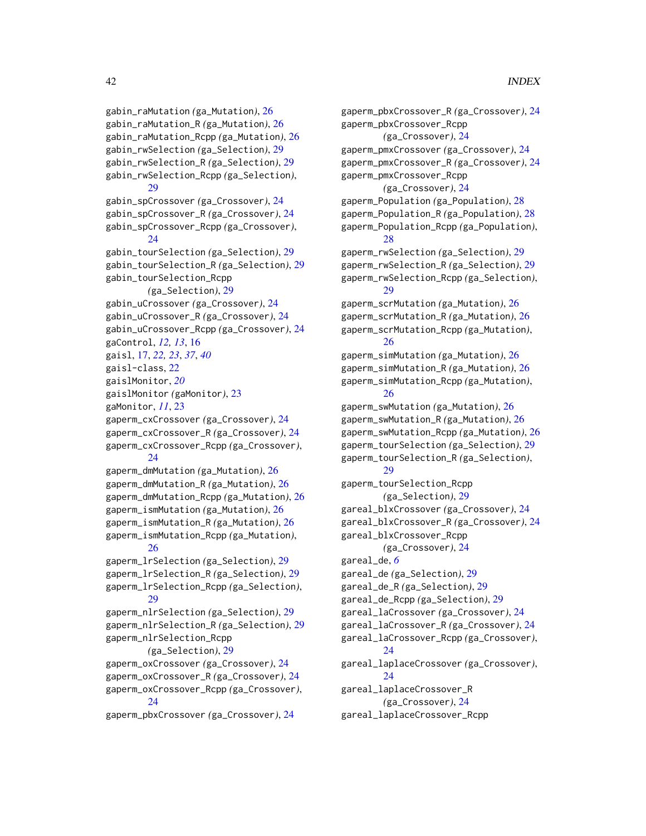gabin\_raMutation *(*ga\_Mutation*)*, [26](#page-25-0) gabin\_raMutation\_R *(*ga\_Mutation*)*, [26](#page-25-0) gabin\_raMutation\_Rcpp *(*ga\_Mutation*)*, [26](#page-25-0) gabin\_rwSelection *(*ga\_Selection*)*, [29](#page-28-0) gabin\_rwSelection\_R *(*ga\_Selection*)*, [29](#page-28-0) gabin\_rwSelection\_Rcpp *(*ga\_Selection*)*,  $29$ gabin\_spCrossover *(*ga\_Crossover*)*, [24](#page-23-0) gabin\_spCrossover\_R *(*ga\_Crossover*)*, [24](#page-23-0) gabin\_spCrossover\_Rcpp *(*ga\_Crossover*)*, [24](#page-23-0) gabin\_tourSelection *(*ga\_Selection*)*, [29](#page-28-0) gabin\_tourSelection\_R *(*ga\_Selection*)*, [29](#page-28-0) gabin\_tourSelection\_Rcpp *(*ga\_Selection*)*, [29](#page-28-0) gabin\_uCrossover *(*ga\_Crossover*)*, [24](#page-23-0) gabin\_uCrossover\_R *(*ga\_Crossover*)*, [24](#page-23-0) gabin\_uCrossover\_Rcpp *(*ga\_Crossover*)*, [24](#page-23-0) gaControl, *[12,](#page-11-0) [13](#page-12-0)*, [16](#page-15-0) gaisl, [17,](#page-16-0) *[22,](#page-21-0) [23](#page-22-0)*, *[37](#page-36-0)*, *[40](#page-39-0)* gaisl-class, [22](#page-21-0) gaislMonitor, *[20](#page-19-0)* gaislMonitor *(*gaMonitor*)*, [23](#page-22-0) gaMonitor, *[11](#page-10-0)*, [23](#page-22-0) gaperm\_cxCrossover *(*ga\_Crossover*)*, [24](#page-23-0) gaperm\_cxCrossover\_R *(*ga\_Crossover*)*, [24](#page-23-0) gaperm\_cxCrossover\_Rcpp *(*ga\_Crossover*)*, [24](#page-23-0) gaperm\_dmMutation *(*ga\_Mutation*)*, [26](#page-25-0) gaperm\_dmMutation\_R *(*ga\_Mutation*)*, [26](#page-25-0) gaperm\_dmMutation\_Rcpp *(*ga\_Mutation*)*, [26](#page-25-0) gaperm\_ismMutation *(*ga\_Mutation*)*, [26](#page-25-0) gaperm\_ismMutation\_R *(*ga\_Mutation*)*, [26](#page-25-0) gaperm\_ismMutation\_Rcpp *(*ga\_Mutation*)*, [26](#page-25-0) gaperm\_lrSelection *(*ga\_Selection*)*, [29](#page-28-0) gaperm\_lrSelection\_R *(*ga\_Selection*)*, [29](#page-28-0) gaperm\_lrSelection\_Rcpp *(*ga\_Selection*)*, [29](#page-28-0) gaperm\_nlrSelection *(*ga\_Selection*)*, [29](#page-28-0) gaperm\_nlrSelection\_R *(*ga\_Selection*)*, [29](#page-28-0) gaperm\_nlrSelection\_Rcpp *(*ga\_Selection*)*, [29](#page-28-0) gaperm\_oxCrossover *(*ga\_Crossover*)*, [24](#page-23-0) gaperm\_oxCrossover\_R *(*ga\_Crossover*)*, [24](#page-23-0) gaperm\_oxCrossover\_Rcpp *(*ga\_Crossover*)*, [24](#page-23-0) gaperm\_pbxCrossover *(*ga\_Crossover*)*, [24](#page-23-0)

gaperm\_pbxCrossover\_R *(*ga\_Crossover*)*, [24](#page-23-0) gaperm\_pbxCrossover\_Rcpp *(*ga\_Crossover*)*, [24](#page-23-0) gaperm\_pmxCrossover *(*ga\_Crossover*)*, [24](#page-23-0) gaperm\_pmxCrossover\_R *(*ga\_Crossover*)*, [24](#page-23-0) gaperm\_pmxCrossover\_Rcpp *(*ga\_Crossover*)*, [24](#page-23-0) gaperm\_Population *(*ga\_Population*)*, [28](#page-27-0) gaperm\_Population\_R *(*ga\_Population*)*, [28](#page-27-0) gaperm\_Population\_Rcpp *(*ga\_Population*)*, [28](#page-27-0) gaperm\_rwSelection *(*ga\_Selection*)*, [29](#page-28-0) gaperm\_rwSelection\_R *(*ga\_Selection*)*, [29](#page-28-0) gaperm\_rwSelection\_Rcpp *(*ga\_Selection*)*, [29](#page-28-0) gaperm\_scrMutation *(*ga\_Mutation*)*, [26](#page-25-0) gaperm\_scrMutation\_R *(*ga\_Mutation*)*, [26](#page-25-0) gaperm\_scrMutation\_Rcpp *(*ga\_Mutation*)*, [26](#page-25-0) gaperm\_simMutation *(*ga\_Mutation*)*, [26](#page-25-0) gaperm\_simMutation\_R *(*ga\_Mutation*)*, [26](#page-25-0) gaperm\_simMutation\_Rcpp *(*ga\_Mutation*)*, [26](#page-25-0) gaperm\_swMutation *(*ga\_Mutation*)*, [26](#page-25-0) gaperm\_swMutation\_R *(*ga\_Mutation*)*, [26](#page-25-0) gaperm\_swMutation\_Rcpp *(*ga\_Mutation*)*, [26](#page-25-0) gaperm\_tourSelection *(*ga\_Selection*)*, [29](#page-28-0) gaperm\_tourSelection\_R *(*ga\_Selection*)*, [29](#page-28-0) gaperm\_tourSelection\_Rcpp *(*ga\_Selection*)*, [29](#page-28-0) gareal\_blxCrossover *(*ga\_Crossover*)*, [24](#page-23-0) gareal\_blxCrossover\_R *(*ga\_Crossover*)*, [24](#page-23-0) gareal\_blxCrossover\_Rcpp *(*ga\_Crossover*)*, [24](#page-23-0) gareal\_de, *[6](#page-5-0)* gareal\_de *(*ga\_Selection*)*, [29](#page-28-0) gareal\_de\_R *(*ga\_Selection*)*, [29](#page-28-0) gareal\_de\_Rcpp *(*ga\_Selection*)*, [29](#page-28-0) gareal\_laCrossover *(*ga\_Crossover*)*, [24](#page-23-0) gareal\_laCrossover\_R *(*ga\_Crossover*)*, [24](#page-23-0) gareal\_laCrossover\_Rcpp *(*ga\_Crossover*)*, [24](#page-23-0) gareal\_laplaceCrossover *(*ga\_Crossover*)*, [24](#page-23-0) gareal\_laplaceCrossover\_R *(*ga\_Crossover*)*, [24](#page-23-0) gareal\_laplaceCrossover\_Rcpp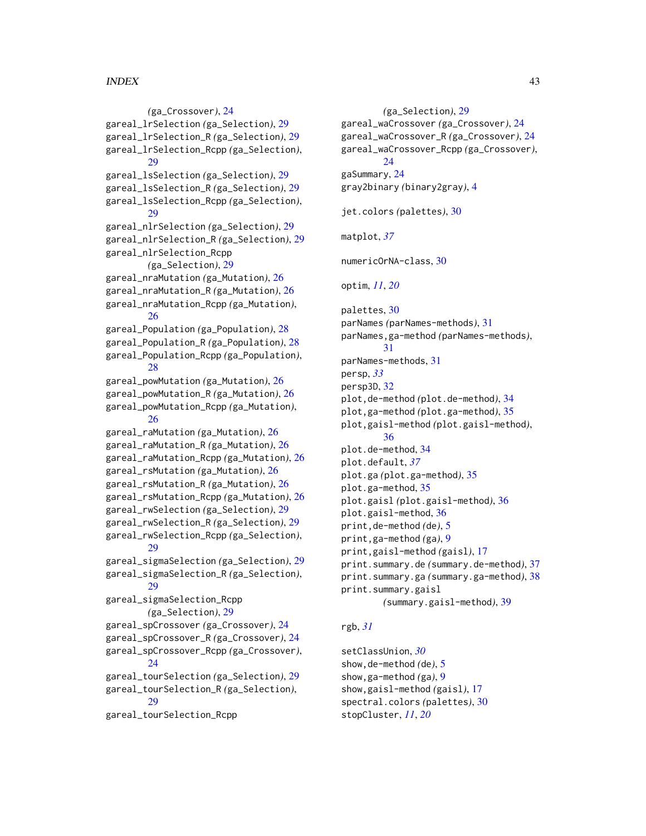# $I<sub>N</sub>$  and  $I<sub>3</sub>$  and  $I<sub>43</sub>$

*(*ga\_Crossover*)*, [24](#page-23-0) gareal\_lrSelection *(*ga\_Selection*)*, [29](#page-28-0) gareal\_lrSelection\_R *(*ga\_Selection*)*, [29](#page-28-0) gareal\_lrSelection\_Rcpp *(*ga\_Selection*)*, [29](#page-28-0) gareal\_lsSelection *(*ga\_Selection*)*, [29](#page-28-0) gareal\_lsSelection\_R *(*ga\_Selection*)*, [29](#page-28-0) gareal\_lsSelection\_Rcpp *(*ga\_Selection*)*, [29](#page-28-0) gareal\_nlrSelection *(*ga\_Selection*)*, [29](#page-28-0) gareal\_nlrSelection\_R *(*ga\_Selection*)*, [29](#page-28-0) gareal\_nlrSelection\_Rcpp *(*ga\_Selection*)*, [29](#page-28-0) gareal\_nraMutation *(*ga\_Mutation*)*, [26](#page-25-0) gareal\_nraMutation\_R *(*ga\_Mutation*)*, [26](#page-25-0) gareal\_nraMutation\_Rcpp *(*ga\_Mutation*)*, [26](#page-25-0) gareal\_Population *(*ga\_Population*)*, [28](#page-27-0) gareal\_Population\_R *(*ga\_Population*)*, [28](#page-27-0) gareal\_Population\_Rcpp *(*ga\_Population*)*, [28](#page-27-0) gareal\_powMutation *(*ga\_Mutation*)*, [26](#page-25-0) gareal\_powMutation\_R *(*ga\_Mutation*)*, [26](#page-25-0) gareal\_powMutation\_Rcpp *(*ga\_Mutation*)*, [26](#page-25-0) gareal\_raMutation *(*ga\_Mutation*)*, [26](#page-25-0) gareal\_raMutation\_R *(*ga\_Mutation*)*, [26](#page-25-0) gareal\_raMutation\_Rcpp *(*ga\_Mutation*)*, [26](#page-25-0) gareal\_rsMutation *(*ga\_Mutation*)*, [26](#page-25-0) gareal\_rsMutation\_R *(*ga\_Mutation*)*, [26](#page-25-0) gareal\_rsMutation\_Rcpp *(*ga\_Mutation*)*, [26](#page-25-0) gareal\_rwSelection *(*ga\_Selection*)*, [29](#page-28-0) gareal\_rwSelection\_R *(*ga\_Selection*)*, [29](#page-28-0) gareal\_rwSelection\_Rcpp *(*ga\_Selection*)*, [29](#page-28-0) gareal\_sigmaSelection *(*ga\_Selection*)*, [29](#page-28-0) gareal\_sigmaSelection\_R *(*ga\_Selection*)*, [29](#page-28-0) gareal\_sigmaSelection\_Rcpp *(*ga\_Selection*)*, [29](#page-28-0) gareal\_spCrossover *(*ga\_Crossover*)*, [24](#page-23-0) gareal\_spCrossover\_R *(*ga\_Crossover*)*, [24](#page-23-0) gareal\_spCrossover\_Rcpp *(*ga\_Crossover*)*, [24](#page-23-0) gareal\_tourSelection *(*ga\_Selection*)*, [29](#page-28-0) gareal\_tourSelection\_R *(*ga\_Selection*)*, [29](#page-28-0) gareal\_tourSelection\_Rcpp

*(*ga\_Selection*)*, [29](#page-28-0) gareal\_waCrossover *(*ga\_Crossover*)*, [24](#page-23-0) gareal\_waCrossover\_R *(*ga\_Crossover*)*, [24](#page-23-0) gareal\_waCrossover\_Rcpp *(*ga\_Crossover*)*, [24](#page-23-0) gaSummary, [24](#page-23-0) gray2binary *(*binary2gray*)*, [4](#page-3-0) jet.colors *(*palettes*)*, [30](#page-29-0) matplot, *[37](#page-36-0)* numericOrNA-class, [30](#page-29-0) optim, *[11](#page-10-0)*, *[20](#page-19-0)* palettes, [30](#page-29-0) parNames *(*parNames-methods*)*, [31](#page-30-0) parNames,ga-method *(*parNames-methods*)*, [31](#page-30-0) parNames-methods, [31](#page-30-0) persp, *[33](#page-32-0)* persp3D, [32](#page-31-0) plot,de-method *(*plot.de-method*)*, [34](#page-33-0) plot,ga-method *(*plot.ga-method*)*, [35](#page-34-0) plot,gaisl-method *(*plot.gaisl-method*)*, [36](#page-35-0) plot.de-method, [34](#page-33-0) plot.default, *[37](#page-36-0)* plot.ga *(*plot.ga-method*)*, [35](#page-34-0) plot.ga-method, [35](#page-34-0) plot.gaisl *(*plot.gaisl-method*)*, [36](#page-35-0) plot.gaisl-method, [36](#page-35-0) print,de-method *(*de*)*, [5](#page-4-0) print,ga-method *(*ga*)*, [9](#page-8-0) print,gaisl-method *(*gaisl*)*, [17](#page-16-0) print.summary.de *(*summary.de-method*)*, [37](#page-36-0) print.summary.ga *(*summary.ga-method*)*, [38](#page-37-0) print.summary.gaisl *(*summary.gaisl-method*)*, [39](#page-38-0)

# rgb, *[31](#page-30-0)*

setClassUnion, *[30](#page-29-0)* show,de-method *(*de*)*, [5](#page-4-0) show,ga-method *(*ga*)*, [9](#page-8-0) show,gaisl-method *(*gaisl*)*, [17](#page-16-0) spectral.colors *(*palettes*)*, [30](#page-29-0) stopCluster, *[11](#page-10-0)*, *[20](#page-19-0)*